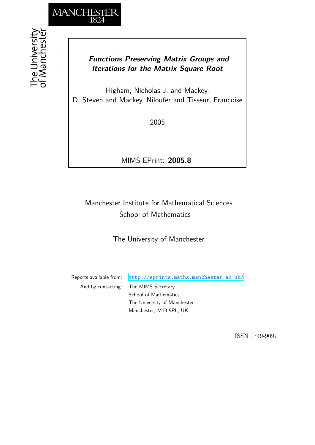

## *Functions Preserving Matrix Groups and Iterations for the Matrix Square Root*

Higham, Nicholas J. and Mackey, D. Steven and Mackey, Niloufer and Tisseur, Françoise

2005

MIMS EPrint: **2005.8**

# Manchester Institute for Mathematical Sciences School of Mathematics

The University of Manchester

Reports available from: <http://eprints.maths.manchester.ac.uk/> And by contacting: The MIMS Secretary School of Mathematics The University of Manchester Manchester, M13 9PL, UK

ISSN 1749-9097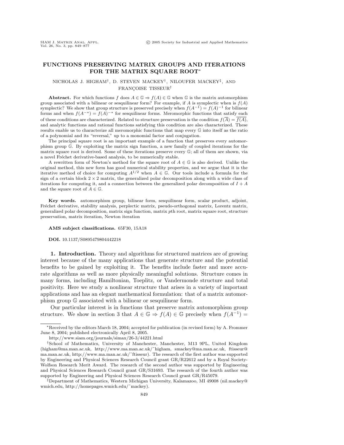## **FUNCTIONS PRESERVING MATRIX GROUPS AND ITERATIONS FOR THE MATRIX SQUARE ROOT**∗

## NICHOLAS J. HIGHAM†, D. STEVEN MACKEY†, NILOUFER MACKEY‡, AND FRANCOISE TISSEUR<sup>†</sup>

**Abstract.** For which functions f does  $A \in \mathbb{G} \Rightarrow f(A) \in \mathbb{G}$  when G is the matrix automorphism group associated with a bilinear or sesquilinear form? For example, if A is symplectic when is  $f(A)$ symplectic? We show that group structure is preserved precisely when  $f(A^{-1}) = f(A)^{-1}$  for bilinear forms and when  $f(A^{-*}) = f(A)^{-*}$  for sesquilinear forms. Meromorphic functions that satisfy each of these conditions are characterized. Related to structure preservation is the condition  $f(\overline{A}) = \overline{f(A)}$ , and analytic functions and rational functions satisfying this condition are also characterized. These results enable us to characterize all meromorphic functions that map every G into itself as the ratio of a polynomial and its "reversal," up to a monomial factor and conjugation.

The principal square root is an important example of a function that preserves every automorphism group G. By exploiting the matrix sign function, a new family of coupled iterations for the matrix square root is derived. Some of these iterations preserve every G; all of them are shown, via a novel Fréchet derivative-based analysis, to be numerically stable.

A rewritten form of Newton's method for the square root of  $A \in \mathbb{G}$  is also derived. Unlike the original method, this new form has good numerical stability properties, and we argue that it is the iterative method of choice for computing  $A^{1/2}$  when  $A \in \mathbb{G}$ . Our tools include a formula for the sign of a certain block  $2 \times 2$  matrix, the generalized polar decomposition along with a wide class of iterations for computing it, and a connection between the generalized polar decomposition of  $I + A$ and the square root of  $A \in \mathbb{G}$ .

**Key words.** automorphism group, bilinear form, sesquilinear form, scalar product, adjoint, Fréchet derivative, stability analysis, perplectic matrix, pseudo-orthogonal matrix, Lorentz matrix, generalized polar decomposition, matrix sign function, matrix pth root, matrix square root, structure preservation, matrix iteration, Newton iteration

#### **AMS subject classifications.** 65F30, 15A18

#### **DOI.** 10.1137/S0895479804442218

**1. Introduction.** Theory and algorithms for structured matrices are of growing interest because of the many applications that generate structure and the potential benefits to be gained by exploiting it. The benefits include faster and more accurate algorithms as well as more physically meaningful solutions. Structure comes in many forms, including Hamiltonian, Toeplitz, or Vandermonde structure and total positivity. Here we study a nonlinear structure that arises in a variety of important applications and has an elegant mathematical formulation: that of a matrix automorphism group G associated with a bilinear or sesquilinear form.

Our particular interest is in functions that preserve matrix automorphism group structure. We show in section 3 that  $A \in \mathbb{G} \Rightarrow f(A) \in \mathbb{G}$  precisely when  $f(A^{-1}) =$ 

<sup>∗</sup>Received by the editors March 18, 2004; accepted for publication (in revised form) by A. Frommer June 8, 2004; published electronically April 8, 2005.

http://www.siam.org/journals/simax/26-3/44221.html

<sup>†</sup>School of Mathematics, University of Manchester, Manchester, M13 9PL, United Kingdom (higham@ma.man.ac.uk, http://www.ma.man.ac.uk/˜higham, smackey@ma.man.ac.uk, ftisseur@ ma.man.ac.uk, http://www.ma.man.ac.uk/˜ftisseur). The research of the first author was supported by Engineering and Physical Sciences Research Council grant GR/R22612 and by a Royal Society-Wolfson Research Merit Award. The research of the second author was supported by Engineering and Physical Sciences Research Council grant GR/S31693. The research of the fourth author was supported by Engineering and Physical Sciences Research Council grant GR/R45079.

<sup>‡</sup>Department of Mathematics, Western Michigan University, Kalamazoo, MI 49008 (nil.mackey@ wmich.edu, http://homepages.wmich.edu/˜mackey).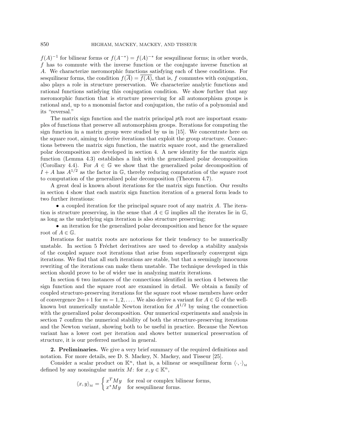$f(A)^{-1}$  for bilinear forms or  $f(A^{-*}) = f(A)^{-*}$  for sesquilinear forms; in other words, f has to commute with the inverse function or the conjugate inverse function at A. We characterize meromorphic functions satisfying each of these conditions. For sesquilinear forms, the condition  $f(A) = f(A)$ , that is, f commutes with conjugation, also plays a role in structure preservation. We characterize analytic functions and rational functions satisfying this conjugation condition. We show further that any meromorphic function that is structure preserving for all automorphism groups is rational and, up to a monomial factor and conjugation, the ratio of a polynomial and its "reversal."

The matrix sign function and the matrix principal pth root are important examples of functions that preserve all automorphism groups. Iterations for computing the sign function in a matrix group were studied by us in [15]. We concentrate here on the square root, aiming to derive iterations that exploit the group structure. Connections between the matrix sign function, the matrix square root, and the generalized polar decomposition are developed in section 4. A new identity for the matrix sign function (Lemma 4.3) establishes a link with the generalized polar decomposition (Corollary 4.4). For  $A \in \mathbb{G}$  we show that the generalized polar decomposition of  $I + A$  has  $A^{1/2}$  as the factor in G, thereby reducing computation of the square root to computation of the generalized polar decomposition (Theorem 4.7).

A great deal is known about iterations for the matrix sign function. Our results in section 4 show that each matrix sign function iteration of a general form leads to two further iterations:

• a coupled iteration for the principal square root of any matrix A. The iteration is structure preserving, in the sense that  $A \in \mathbb{G}$  implies all the iterates lie in  $\mathbb{G}$ , as long as the underlying sign iteration is also structure preserving;

• an iteration for the generalized polar decomposition and hence for the square root of  $A \in \mathbb{G}$ .

Iterations for matrix roots are notorious for their tendency to be numerically unstable. In section 5 Fréchet derivatives are used to develop a stability analysis of the coupled square root iterations that arise from superlinearly convergent sign iterations. We find that all such iterations are stable, but that a seemingly innocuous rewriting of the iterations can make them unstable. The technique developed in this section should prove to be of wider use in analyzing matrix iterations.

In section 6 two instances of the connections identified in section 4 between the sign function and the square root are examined in detail. We obtain a family of coupled structure-preserving iterations for the square root whose members have order of convergence  $2m+1$  for  $m=1,2,\ldots$ . We also derive a variant for  $A \in \mathbb{G}$  of the wellknown but numerically unstable Newton iteration for  $A^{1/2}$  by using the connection with the generalized polar decomposition. Our numerical experiments and analysis in section 7 confirm the numerical stability of both the structure-preserving iterations and the Newton variant, showing both to be useful in practice. Because the Newton variant has a lower cost per iteration and shows better numerical preservation of structure, it is our preferred method in general.

**2. Preliminaries.** We give a very brief summary of the required definitions and notation. For more details, see D. S. Mackey, N. Mackey, and Tisseur [25].

Consider a scalar product on  $\mathbb{K}^n$ , that is, a bilinear or sesquilinear form  $\langle \cdot, \cdot \rangle_{\mathcal{M}}$ defined by any nonsingular matrix  $M:$  for  $x, y \in \mathbb{K}^n$ ,

$$
\langle x, y \rangle_{\mathcal{M}} = \begin{cases} x^T M y & \text{for real or complex bilinear forms,} \\ x^* M y & \text{for sesquilinear forms.} \end{cases}
$$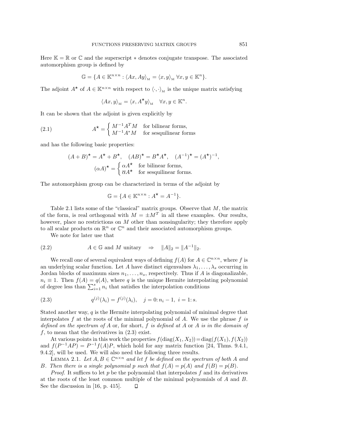Here  $K = \mathbb{R}$  or  $\mathbb{C}$  and the superscript  $*$  denotes conjugate transpose. The associated automorphism group is defined by

$$
\mathbb{G} = \{ A \in \mathbb{K}^{n \times n} : \langle Ax, Ay \rangle_{\mathcal{M}} = \langle x, y \rangle_{\mathcal{M}} \ \forall x, y \in \mathbb{K}^n \}.
$$

The adjoint  $A^*$  of  $A \in \mathbb{K}^{n \times n}$  with respect to  $\langle \cdot, \cdot \rangle_{M}$  is the unique matrix satisfying

$$
\langle Ax, y \rangle_{\mathcal{M}} = \langle x, A^{\star} y \rangle_{\mathcal{M}} \quad \forall x, y \in \mathbb{K}^{n}.
$$

It can be shown that the adjoint is given explicitly by

(2.1) 
$$
A^{\star} = \begin{cases} M^{-1}A^{T}M & \text{for bilinear forms,} \\ M^{-1}A^*M & \text{for sesquilinear forms} \end{cases}
$$

and has the following basic properties:

$$
(A + B)^{\star} = A^{\star} + B^{\star}, \quad (AB)^{\star} = B^{\star}A^{\star}, \quad (A^{-1})^{\star} = (A^{\star})^{-1},
$$

$$
(\alpha A)^{\star} = \begin{cases} \alpha A^{\star} & \text{for bilinear forms,} \\ \overline{\alpha} A^{\star} & \text{for sesquilinear forms.} \end{cases}
$$

The automorphism group can be characterized in terms of the adjoint by

$$
\mathbb{G} = \{ A \in \mathbb{K}^{n \times n} : A^{\star} = A^{-1} \}.
$$

Table 2.1 lists some of the "classical" matrix groups. Observe that  $M$ , the matrix of the form, is real orthogonal with  $M = \pm M^T$  in all these examples. Our results, however, place no restrictions on M other than nonsingularity; they therefore apply to all scalar products on  $\mathbb{R}^n$  or  $\mathbb{C}^n$  and their associated automorphism groups.

We note for later use that

(2.2) 
$$
A \in \mathbb{G} \text{ and } M \text{ unitary } \Rightarrow \|A\|_2 = \|A^{-1}\|_2.
$$

We recall one of several equivalent ways of defining  $f(A)$  for  $A \in \mathbb{C}^{n \times n}$ , where f is an underlying scalar function. Let A have distinct eigenvalues  $\lambda_1, \ldots, \lambda_s$  occurring in Jordan blocks of maximum sizes  $n_1, \ldots, n_s$ , respectively. Thus if A is diagonalizable,  $n_i \equiv 1$ . Then  $f(A) = q(A)$ , where q is the unique Hermite interpolating polynomial of degree less than  $\sum_{i=1}^{s} n_i$  that satisfies the interpolation conditions

(2.3) 
$$
q^{(j)}(\lambda_i) = f^{(j)}(\lambda_i), \quad j = 0; n_i - 1, i = 1; s.
$$

Stated another way,  $q$  is the Hermite interpolating polynomial of minimal degree that interpolates f at the roots of the minimal polynomial of A. We use the phrase f is defined on the spectrum of A or, for short, f is defined at A or A is in the domain of f, to mean that the derivatives in  $(2.3)$  exist.

At various points in this work the properties  $f(\text{diag}(X_1, X_2)) = \text{diag}(f(X_1), f(X_2))$ and  $f(P^{-1}AP) = P^{-1}f(A)P$ , which hold for any matrix function [24, Thms. 9.4.1, 9.4.2], will be used. We will also need the following three results.

LEMMA 2.1. Let  $A, B \in \mathbb{C}^{n \times n}$  and let f be defined on the spectrum of both A and B. Then there is a single polynomial p such that  $f(A) = p(A)$  and  $f(B) = p(B)$ .

*Proof.* It suffices to let  $p$  be the polynomial that interpolates  $f$  and its derivatives at the roots of the least common multiple of the minimal polynomials of A and B. See the discussion in [16, p. 415]. $\Box$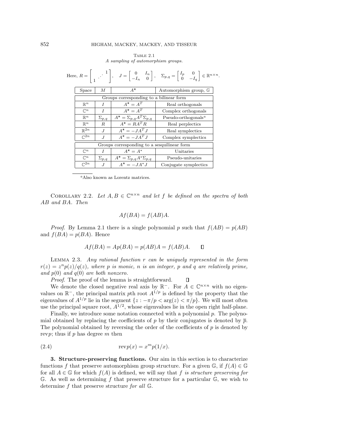Table 2.1 A sampling of automorphism groups.

|                                             |   |                                             | Here, $R = \begin{bmatrix} 1 & 1 \ 1 & 1 \end{bmatrix}$ , $J = \begin{bmatrix} 0 & I_n \ -I_n & 0 \end{bmatrix}$ , $\Sigma_{p,q} = \begin{bmatrix} I_p & 0 \ 0 & -I_q \end{bmatrix} \in \mathbb{R}^{n \times n}$ . |  |  |  |  |  |
|---------------------------------------------|---|---------------------------------------------|--------------------------------------------------------------------------------------------------------------------------------------------------------------------------------------------------------------------|--|--|--|--|--|
| Space                                       | М | $A^{\star}$                                 | Automorphism group, G                                                                                                                                                                                              |  |  |  |  |  |
| Groups corresponding to a bilinear form     |   |                                             |                                                                                                                                                                                                                    |  |  |  |  |  |
| $\mathbb{R}^n$<br>I                         |   | $A^* = A^T$                                 | Real orthogonals                                                                                                                                                                                                   |  |  |  |  |  |
| $\overline{I}$<br>$\mathbb{C}^n$            |   | $A^* = A^T$                                 | Complex orthogonals                                                                                                                                                                                                |  |  |  |  |  |
| $\mathbb{R}^n$<br>$\Sigma_{p,q}$            |   | $A^{\star} = \Sigma_{p,q} A^T \Sigma_{p,q}$ | Pseudo-orthogonals <sup>a</sup>                                                                                                                                                                                    |  |  |  |  |  |
| $\mathbb{R}^n$<br>$_{R}$                    |   | $A^{\star} = BA^{T}B$                       | Real perplectics                                                                                                                                                                                                   |  |  |  |  |  |
| $R^{2n}$<br>$\cdot$ T                       |   | $A^{\star} = -JA^{T}J$                      | Real symplectics                                                                                                                                                                                                   |  |  |  |  |  |
| $\mathbb{C}^{2n}$<br>J                      |   | $A^{\star} = -JA^{T}J$                      | Complex symplectics                                                                                                                                                                                                |  |  |  |  |  |
| Groups corresponding to a sesquilinear form |   |                                             |                                                                                                                                                                                                                    |  |  |  |  |  |
| $\mathbb{C}^n$<br>I                         |   | $A^* = A^*$                                 | Unitaries                                                                                                                                                                                                          |  |  |  |  |  |
| $\mathbb{C}^n$<br>$\Sigma_{p,q}$            |   | $A^{\star} = \sum_{p,q} A^* \sum_{p,q}$     | Pseudo-unitaries                                                                                                                                                                                                   |  |  |  |  |  |
| $\mathbb{C}^{\overline{2n}}$                | J | $A^{\star} = -JA^*J$                        | Conjugate symplectics                                                                                                                                                                                              |  |  |  |  |  |

<sup>a</sup>Also known as Lorentz matrices.

COROLLARY 2.2. Let  $A, B \in \mathbb{C}^{n \times n}$  and let f be defined on the spectra of both AB and BA. Then

$$
Af(BA) = f(AB)A.
$$

*Proof.* By Lemma 2.1 there is a single polynomial p such that  $f(AB) = p(AB)$ and  $f(BA) = p(BA)$ . Hence

$$
Af(BA) = Ap(BA) = p(AB)A = f(AB)A.
$$

LEMMA 2.3. Any rational function  $r$  can be uniquely represented in the form  $r(z) = z^n p(z)/q(z)$ , where p is monic, n is an integer, p and q are relatively prime, and  $p(0)$  and  $q(0)$  are both nonzero.

Proof. The proof of the lemma is straightforward.  $\Box$ 

We denote the closed negative real axis by  $\mathbb{R}^-$ . For  $A \in \mathbb{C}^{n \times n}$  with no eigenvalues on  $\mathbb{R}^-$ , the principal matrix pth root  $A^{1/p}$  is defined by the property that the eigenvalues of  $A^{1/p}$  lie in the segment  $\{z : -\pi/p < \arg(z) < \pi/p\}$ . We will most often use the principal square root,  $A^{1/2}$ , whose eigenvalues lie in the open right half-plane.

Finally, we introduce some notation connected with a polynomial  $p$ . The polynomial obtained by replacing the coefficients of p by their conjugates is denoted by  $\bar{p}$ . The polynomial obtained by reversing the order of the coefficients of  $p$  is denoted by revp; thus if  $p$  has degree  $m$  then

(2.4) 
$$
\operatorname{rev} p(x) = x^m p(1/x).
$$

**3. Structure-preserving functions.** Our aim in this section is to characterize functions f that preserve automorphism group structure. For a given  $\mathbb{G}$ , if  $f(A) \in \mathbb{G}$ for all  $A \in \mathbb{G}$  for which  $f(A)$  is defined, we will say that f is structure preserving for G. As well as determining f that preserve structure for a particular  $\mathbb{G}$ , we wish to determine  $f$  that preserve structure for all  $\mathbb{G}$ .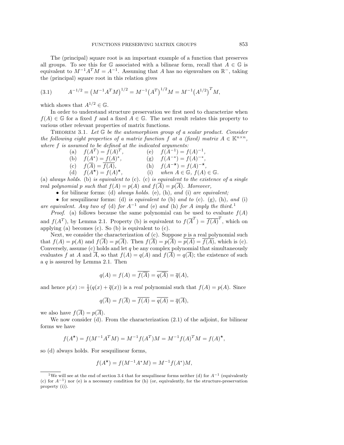The (principal) square root is an important example of a function that preserves all groups. To see this for  $\mathbb G$  associated with a bilinear form, recall that  $A \in \mathbb G$  is equivalent to  $M^{-1}A^T M = A^{-1}$ . Assuming that A has no eigenvalues on  $\mathbb{R}^-$ , taking the (principal) square root in this relation gives

(3.1) 
$$
A^{-1/2} = (M^{-1}A^T M)^{1/2} = M^{-1} (A^T)^{1/2} M = M^{-1} (A^{1/2})^T M,
$$

which shows that  $A^{1/2} \in \mathbb{G}$ .

In order to understand structure preservation we first need to characterize when  $f(A) \in \mathbb{G}$  for a fixed f and a fixed  $A \in \mathbb{G}$ . The next result relates this property to various other relevant properties of matrix functions.

THEOREM 3.1. Let  $\mathbb G$  be the automorphism group of a scalar product. Consider the following eight properties of a matrix function f at a (fixed) matrix  $A \in \mathbb{K}^{n \times n}$ , where f is assumed to be defined at the indicated arguments:

| (a) $f(A^T) = f(A)^T$ ,       | (e) $f(A^{-1}) = f(A)^{-1}$ ,                         |
|-------------------------------|-------------------------------------------------------|
| (b) $f(A^*) = f(A)^*,$        | (g) $f(A^{-*}) = f(A)^{-*}$ ,                         |
| (c) $f(\overline{A}) = f(A),$ | (h) $f(A^{-\star}) = f(A)^{-\star}$ ,                 |
| (d) $f(A^*) = f(A)^*,$        | (i) when $A \in \mathbb{G}$ , $f(A) \in \mathbb{G}$ . |

(a) always holds. (b) is equivalent to (c). (c) is equivalent to the existence of a single real polynomial p such that  $f(A) = p(A)$  and  $f(\overline{A}) = p(\overline{A})$ . Moreover,

• for bilinear forms: (d) always holds. (e), (h), and (i) are equivalent;

• for sesquilinear forms: (d) is equivalent to (b) and to (c). (g), (h), and (i) are equivalent. Any two of (d) for  $A^{-1}$  and (e) and (h) for A imply the third.<sup>1</sup>

*Proof.* (a) follows because the same polynomial can be used to evaluate  $f(A)$ and  $f(A^T)$ , by Lemma 2.1. Property (b) is equivalent to  $f(\overline{A}^T) = \overline{f(A)}^T$ , which on applying (a) becomes (c). So (b) is equivalent to (c).

Next, we consider the characterization of  $(c)$ . Suppose  $p$  is a real polynomial such that  $f(A) = p(A)$  and  $f(A) = p(A)$ . Then  $f(A) = p(A) = p(A) = f(A)$ , which is (c). Conversely, assume  $(c)$  holds and let q be any complex polynomial that simultaneously evaluates f at A and A, so that  $f(A) = q(A)$  and  $f(A) = q(A)$ ; the existence of such a  $q$  is assured by Lemma 2.1. Then

$$
q(A) = f(A) = \overline{f(\overline{A})} = \overline{q(\overline{A})} = \overline{q}(A),
$$

and hence  $p(x) := \frac{1}{2}(q(x) + \overline{q}(x))$  is a real polynomial such that  $f(A) = p(A)$ . Since

$$
q(\overline{A}) = f(\overline{A}) = \overline{f(A)} = \overline{q(A)} = \overline{q}(\overline{A}),
$$

we also have  $f(\overline{A}) = p(\overline{A})$ .

We now consider (d). From the characterization (2.1) of the adjoint, for bilinear forms we have

$$
f(A^{\star}) = f(M^{-1}A^{T}M) = M^{-1}f(A^{T})M = M^{-1}f(A)^{T}M = f(A)^{\star},
$$

so (d) always holds. For sesquilinear forms,

$$
f(A^*) = f(M^{-1}A^*M) = M^{-1}f(A^*)M,
$$

<sup>&</sup>lt;sup>1</sup>We will see at the end of section 3.4 that for sesquilinear forms neither (d) for  $A^{-1}$  (equivalently (c) for  $A^{-1}$ ) nor (e) is a necessary condition for (h) (or, equivalently, for the structure-preservation property (i)).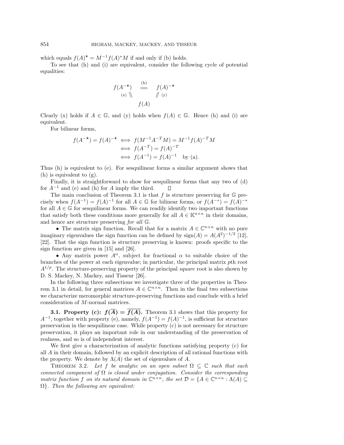which equals  $f(A)^* = M^{-1}f(A)^*M$  if and only if (b) holds.

To see that (h) and (i) are equivalent, consider the following cycle of potential equalities:

$$
f(A^{-\star}) \stackrel{\text{(h)}}{=} f(A)^{-\star}
$$
  
\n
$$
\langle x \rangle \stackrel{\text{(h)}}{=} f(A)
$$
  
\n
$$
f(A)
$$

Clearly (x) holds if  $A \in \mathbb{G}$ , and (y) holds when  $f(A) \in \mathbb{G}$ . Hence (h) and (i) are equivalent.

For bilinear forms,

$$
f(A^{-\star}) = f(A)^{-\star} \iff f(M^{-1}A^{-T}M) = M^{-1}f(A)^{-T}M
$$

$$
\iff f(A^{-T}) = f(A)^{-T}
$$

$$
\iff f(A^{-1}) = f(A)^{-1} \text{ by (a)}.
$$

Thus (h) is equivalent to (e). For sesquilinear forms a similar argument shows that (h) is equivalent to (g).

Finally, it is straightforward to show for sesquilinear forms that any two of (d) for  $A^{-1}$  and (e) and (h) for A imply the third.  $\Box$ 

The main conclusion of Theorem 3.1 is that  $f$  is structure preserving for  $\mathbb G$  precisely when  $f(A^{-1}) = f(A)^{-1}$  for all  $A \in \mathbb{G}$  for bilinear forms, or  $f(A^{-*}) = f(A)^{-*}$ for all  $A \in \mathbb{G}$  for sesquilinear forms. We can readily identify two important functions that satisfy both these conditions more generally for all  $A \in \mathbb{K}^{n \times n}$  in their domains, and hence are structure preserving for all G.

• The matrix sign function. Recall that for a matrix  $A \in \mathbb{C}^{n \times n}$  with no pure imaginary eigenvalues the sign function can be defined by  $sign(A) = A(A^2)^{-1/2}$  [12], [22]. That the sign function is structure preserving is known: proofs specific to the sign function are given in [15] and [26].

• Any matrix power  $A^{\alpha}$ , subject for fractional  $\alpha$  to suitable choice of the branches of the power at each eigenvalue; in particular, the principal matrix pth root  $A^{1/p}$ . The structure-preserving property of the principal square root is also shown by D. S. Mackey, N. Mackey, and Tisseur [26].

In the following three subsections we investigate three of the properties in Theorem 3.1 in detail, for general matrices  $A \in \mathbb{C}^{n \times n}$ . Then in the final two subsections we characterize meromorphic structure-preserving functions and conclude with a brief consideration of M-normal matrices.

**3.1. Property (c):**  $f(\overline{A}) = \overline{f(A)}$ . Theorem 3.1 shows that this property for  $A^{-1}$ , together with property (e), namely,  $f(A^{-1}) = f(A)^{-1}$ , is sufficient for structure preservation in the sesquilinear case. While property (c) is not necessary for structure preservation, it plays an important role in our understanding of the preservation of realness, and so is of independent interest.

We first give a characterization of analytic functions satisfying property (c) for all A in their domain, followed by an explicit description of all rational functions with the property. We denote by  $\Lambda(A)$  the set of eigenvalues of A.

THEOREM 3.2. Let f be analytic on an open subset  $\Omega \subseteq \mathbb{C}$  such that each connected component of  $\Omega$  is closed under conjugation. Consider the corresponding matrix function f on its natural domain in  $\mathbb{C}^{n \times n}$ , the set  $\mathcal{D} = \{A \in \mathbb{C}^{n \times n} : \Lambda(A) \subseteq$  $\Omega$ }. Then the following are equivalent: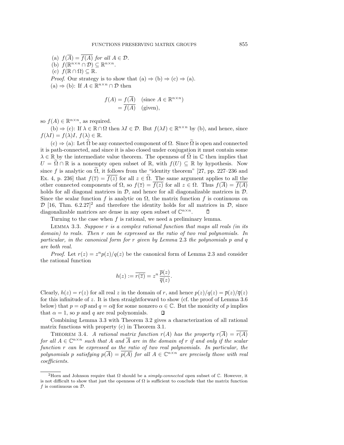(a)  $f(\overline{A}) = f(A)$  for all  $A \in \mathcal{D}$ . (b)  $f(\mathbb{R}^{n\times n}\cap\mathcal{D})\subseteq\mathbb{R}^{n\times n}$ . (c)  $f(\mathbb{R}\cap\Omega)\subseteq\mathbb{R}$ . *Proof.* Our strategy is to show that  $(a) \Rightarrow (b) \Rightarrow (c) \Rightarrow (a)$ . (a)  $\Rightarrow$  (b): If  $A \in \mathbb{R}^{n \times n} \cap \mathcal{D}$  then

$$
f(A) = f(\overline{A}) \quad \text{(since } A \in \mathbb{R}^{n \times n}\text{)}= \overline{f(A)} \quad \text{(given)},
$$

so  $f(A) \in \mathbb{R}^{n \times n}$ , as required.

(b)  $\Rightarrow$  (c): If  $\lambda \in \mathbb{R} \cap \Omega$  then  $\lambda I \in \mathcal{D}$ . But  $f(\lambda I) \in \mathbb{R}^{n \times n}$  by (b), and hence, since  $f(\lambda I) = f(\lambda)I, f(\lambda) \in \mathbb{R}.$ 

 $(c) \Rightarrow (a)$ : Let  $\Omega$  be any connected component of  $\Omega$ . Since  $\Omega$  is open and connected it is path-connected, and since it is also closed under conjugation it must contain some  $\lambda \in \mathbb{R}$  by the intermediate value theorem. The openness of  $\Omega$  in  $\mathbb C$  then implies that  $U = \tilde{\Omega} \cap \mathbb{R}$  is a nonempty open subset of  $\mathbb{R}$ , with  $f(U) \subseteq \mathbb{R}$  by hypothesis. Now since f is analytic on  $\Omega$ , it follows from the "identity theorem" [27, pp. 227–236 and Ex. 4, p. 236] that  $f(\overline{z}) = \overline{f(z)}$  for all  $z \in \Omega$ . The same argument applies to all the other connected components of  $\Omega$ , so  $f(\overline{z}) = \overline{f(z)}$  for all  $z \in \Omega$ . Thus  $f(\overline{A}) = \overline{f(A)}$ holds for all diagonal matrices in  $D$ , and hence for all diagonalizable matrices in  $D$ . Since the scalar function f is analytic on  $\Omega$ , the matrix function f is continuous on  $\mathcal{D}$  [16, Thm. 6.2.27]<sup>2</sup> and therefore the identity holds for all matrices in  $\mathcal{D}$ , since diagonalizable matrices are dense in any open subset of  $\mathbb{C}^{n \times n}$ . П

Turning to the case when  $f$  is rational, we need a preliminary lemma.

LEMMA 3.3. Suppose  $r$  is a complex rational function that maps all reals (in its domain) to reals. Then r can be expressed as the ratio of two real polynomials. In particular, in the canonical form for r given by Lemma 2.3 the polynomials p and q are both real.

*Proof.* Let  $r(z) = z^n p(z)/q(z)$  be the canonical form of Lemma 2.3 and consider the rational function

$$
h(z) := \overline{r(\overline{z})} = z^n \frac{\overline{p}(z)}{\overline{q}(z)}
$$

.

Clearly,  $h(z) = r(z)$  for all real z in the domain of r, and hence  $p(z)/q(z) = \bar{p}(z)/\bar{q}(z)$ for this infinitude of z. It is then straightforward to show (cf. the proof of Lemma 3.6 below) that  $p = \alpha \bar{p}$  and  $q = \alpha \bar{q}$  for some nonzero  $\alpha \in \mathbb{C}$ . But the monicity of p implies that  $\alpha = 1$ , so p and q are real polynomials. П

Combining Lemma 3.3 with Theorem 3.2 gives a characterization of all rational matrix functions with property (c) in Theorem 3.1.

THEOREM 3.4. A rational matrix function  $r(A)$  has the property  $r(\overline{A}) = \overline{r(A)}$ for all  $A \in \mathbb{C}^{n \times n}$  such that A and  $\overline{A}$  are in the domain of r if and only if the scalar function r can be expressed as the ratio of two real polynomials. In particular, the polynomials p satisfying  $p(\overline{A}) = \overline{p(A)}$  for all  $A \in \mathbb{C}^{n \times n}$  are precisely those with real coefficients.

<sup>&</sup>lt;sup>2</sup>Horn and Johnson require that  $\Omega$  should be a *simply-connected* open subset of  $\mathbb C$ . However, it is not difficult to show that just the openness of  $\Omega$  is sufficient to conclude that the matrix function f is continuous on  $\mathcal{D}$ .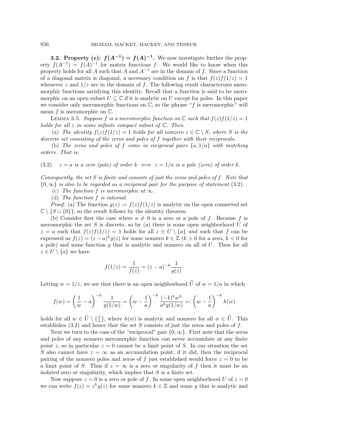**3.2. Property (e):**  $f(A^{-1}) = f(A)^{-1}$ . We now investigate further the property  $f(A^{-1}) = f(A)^{-1}$  for matrix functions f. We would like to know when this property holds for all A such that A and  $A^{-1}$  are in the domain of f. Since a function of a diagonal matrix is diagonal, a necessary condition on f is that  $f(z)f(1/z)=1$ whenever z and  $1/z$  are in the domain of f. The following result characterizes meromorphic functions satisfying this identity. Recall that a function is said to be meromorphic on an open subset  $U \subseteq \mathbb{C}$  if it is analytic on U except for poles. In this paper we consider only meromorphic functions on  $\mathbb{C}$ , so the phrase "f is meromorphic" will mean  $f$  is meromorphic on  $\mathbb{C}$ .

LEMMA 3.5. Suppose f is a meromorphic function on  $\mathbb C$  such that  $f(z)f(1/z)=1$ holds for all  $z$  in some infinite compact subset of  $\mathbb{C}$ . Then

(a) The identity  $f(z)f(1/z)=1$  holds for all nonzero  $z \in \mathbb{C} \setminus S$ , where S is the discrete set consisting of the zeros and poles of f together with their reciprocals.

(b) The zeros and poles of f come in reciprocal pairs  $\{a, 1/a\}$  with matching orders. That is,

(3.2) 
$$
z = a
$$
 is a zero (pole) of order  $k \iff z = 1/a$  is a pole (zero) of order k.

Consequently, the set  $S$  is finite and consists of just the zeros and poles of  $f$ . Note that  ${0,\infty}$  is also to be regarded as a reciprocal pair for the purpose of statement (3.2).

(c) The function f is meromorphic at  $\infty$ .

(d) The function f is rational.

*Proof.* (a) The function  $g(z) := f(z)f(1/z)$  is analytic on the open connected set  $\mathbb{C} \setminus \{S \cup \{0\}\}\$ , so the result follows by the identity theorem.

(b) Consider first the case where  $a \neq 0$  is a zero or a pole of f. Because f is meromorphic the set  $S$  is discrete, so by (a) there is some open neighborhood  $U$  of  $z = a$  such that  $f(z)f(1/z) = 1$  holds for all  $z \in U \setminus \{a\}$  and such that f can be expressed as  $f(z)=(z - a)^{k}g(z)$  for some nonzero  $k \in \mathbb{Z}$   $(k > 0$  for a zero,  $k < 0$  for a pole) and some function g that is analytic and nonzero on all of  $U$ . Then for all  $z \in U \setminus \{a\}$  we have

$$
f(1/z) = \frac{1}{f(z)} = (z - a)^{-k} \frac{1}{g(z)}.
$$

Letting  $w = 1/z$ , we see that there is an open neighborhood  $\tilde{U}$  of  $w = 1/a$  in which

$$
f(w) = \left(\frac{1}{w} - a\right)^{-k} \frac{1}{g(1/w)} = \left(w - \frac{1}{a}\right)^{-k} \frac{(-1)^k w^k}{a^k g(1/w)} =: \left(w - \frac{1}{a}\right)^{-k} h(w)
$$

holds for all  $w \in \tilde{U} \setminus {\{\frac{1}{a}\}}$ , where  $h(w)$  is analytic and nonzero for all  $w \in \tilde{U}$ . This establishes  $(3.2)$  and hence that the set S consists of just the zeros and poles of f.

Next we turn to the case of the "reciprocal" pair  ${0, \infty}$ . First note that the zeros and poles of any nonzero meromorphic function can never accumulate at any finite point z, so in particular  $z = 0$  cannot be a limit point of S. In our situation the set S also cannot have  $z = \infty$  as an accumulation point; if it did, then the reciprocal pairing of the nonzero poles and zeros of f just established would force  $z = 0$  to be a limit point of S. Thus if  $z = \infty$  is a zero or singularity of f then it must be an isolated zero or singularity, which implies that  $S$  is a finite set.

Now suppose  $z = 0$  is a zero or pole of f. In some open neighborhood U of  $z = 0$ we can write  $f(z) = z^k g(z)$  for some nonzero  $k \in \mathbb{Z}$  and some g that is analytic and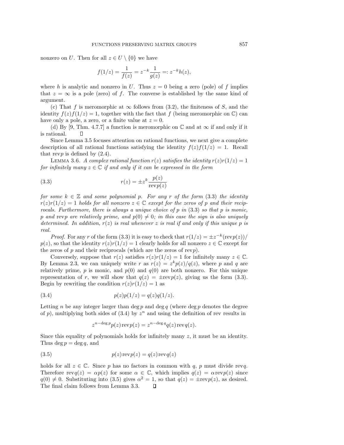nonzero on U. Then for all  $z \in U \setminus \{0\}$  we have

$$
f(1/z) = \frac{1}{f(z)} = z^{-k} \frac{1}{g(z)} =: z^{-k}h(z),
$$

where h is analytic and nonzero in U. Thus  $z = 0$  being a zero (pole) of f implies that  $z = \infty$  is a pole (zero) of f. The converse is established by the same kind of argument.

(c) That f is meromorphic at  $\infty$  follows from (3.2), the finiteness of S, and the identity  $f(z)f(1/z) = 1$ , together with the fact that f (being meromorphic on  $\mathbb{C}$ ) can have only a pole, a zero, or a finite value at  $z = 0$ .

(d) By [9, Thm. 4.7.7] a function is meromorphic on  $\mathbb C$  and at  $\infty$  if and only if it is rational. П

Since Lemma 3.5 focuses attention on rational functions, we next give a complete description of all rational functions satisfying the identity  $f(z)f(1/z) = 1$ . Recall that revp is defined by  $(2.4)$ .

LEMMA 3.6. A complex rational function  $r(z)$  satisfies the identity  $r(z)r(1/z)=1$ for infinitely many  $z \in \mathbb{C}$  if and only if it can be expressed in the form

(3.3) 
$$
r(z) = \pm z^k \frac{p(z)}{\text{rev } p(z)}
$$

for some  $k \in \mathbb{Z}$  and some polynomial p. For any r of the form (3.3) the identity  $r(z)r(1/z)=1$  holds for all nonzero  $z \in \mathbb{C}$  except for the zeros of p and their reciprocals. Furthermore, there is always a unique choice of p in  $(3.3)$  so that p is monic, p and revp are relatively prime, and  $p(0) \neq 0$ ; in this case the sign is also uniquely determined. In addition,  $r(z)$  is real whenever z is real if and only if this unique p is real.

*Proof.* For any r of the form (3.3) it is easy to check that  $r(1/z) = \pm z^{-k}(\text{rev }p(z))/k$  $p(z)$ , so that the identity  $r(z)r(1/z) = 1$  clearly holds for all nonzero  $z \in \mathbb{C}$  except for the zeros of  $p$  and their reciprocals (which are the zeros of revp).

Conversely, suppose that  $r(z)$  satisfies  $r(z)r(1/z) = 1$  for infinitely many  $z \in \mathbb{C}$ . By Lemma 2.3, we can uniquely write r as  $r(z) = z^k p(z)/q(z)$ , where p and q are relatively prime, p is monic, and  $p(0)$  and  $q(0)$  are both nonzero. For this unique representation of r, we will show that  $q(z) = \pm \text{rev}(z)$ , giving us the form (3.3). Begin by rewriting the condition  $r(z)r(1/z) = 1$  as

(3.4) 
$$
p(z)p(1/z) = q(z)q(1/z).
$$

Letting n be any integer larger than deg p and deg q (where deg p denotes the degree of p), multiplying both sides of  $(3.4)$  by  $z^n$  and using the definition of rev results in

$$
z^{n-\deg p}p(z)\operatorname{rev}p(z) = z^{n-\deg q}q(z)\operatorname{rev}q(z).
$$

Since this equality of polynomials holds for infinitely many  $z$ , it must be an identity. Thus deg  $p = \deg q$ , and

(3.5) 
$$
p(z) \operatorname{rev} p(z) = q(z) \operatorname{rev} q(z)
$$

holds for all  $z \in \mathbb{C}$ . Since p has no factors in common with q, p must divide revq. Therefore  $revq(z) = \alpha p(z)$  for some  $\alpha \in \mathbb{C}$ , which implies  $q(z) = \alpha revp(z)$  since  $q(0) \neq 0$ . Substituting into (3.5) gives  $\alpha^2 = 1$ , so that  $q(z) = \pm \text{rev}(z)$ , as desired. The final claim follows from Lemma 3.3. $\Box$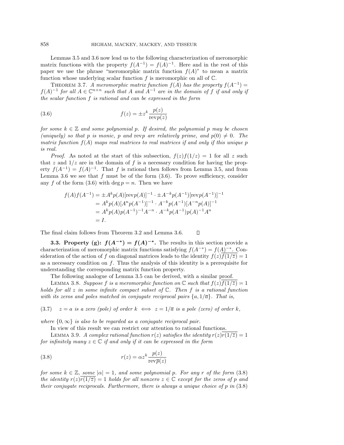Lemmas 3.5 and 3.6 now lead us to the following characterization of meromorphic matrix functions with the property  $f(A^{-1}) = f(A)^{-1}$ . Here and in the rest of this paper we use the phrase "meromorphic matrix function  $f(A)$ " to mean a matrix function whose underlying scalar function f is meromorphic on all of  $\mathbb{C}$ .

THEOREM 3.7. A meromorphic matrix function  $f(A)$  has the property  $f(A^{-1}) =$  $f(A)^{-1}$  for all  $A \in \mathbb{C}^{n \times n}$  such that A and  $A^{-1}$  are in the domain of f if and only if the scalar function f is rational and can be expressed in the form

(3.6) 
$$
f(z) = \pm z^k \frac{p(z)}{\text{rev } p(z)}
$$

for some  $k \in \mathbb{Z}$  and some polynomial p. If desired, the polynomial p may be chosen (uniquely) so that p is monic, p and revp are relatively prime, and  $p(0) \neq 0$ . The matrix function  $f(A)$  maps real matrices to real matrices if and only if this unique p is real.

*Proof.* As noted at the start of this subsection,  $f(z)f(1/z) = 1$  for all z such that z and  $1/z$  are in the domain of f is a necessary condition for having the property  $f(A^{-1}) = f(A)^{-1}$ . That f is rational then follows from Lemma 3.5, and from Lemma 3.6 we see that  $f$  must be of the form  $(3.6)$ . To prove sufficiency, consider any f of the form  $(3.6)$  with deg  $p = n$ . Then we have

$$
f(A)f(A^{-1}) = \pm A^k p(A)[\text{rev}(A)]^{-1} \cdot \pm A^{-k} p(A^{-1})[\text{rev}(A^{-1})]^{-1}
$$
  
=  $A^k p(A)[A^n p(A^{-1})]^{-1} \cdot A^{-k} p(A^{-1})[A^{-n} p(A)]^{-1}$   
=  $A^k p(A)p(A^{-1})^{-1}A^{-n} \cdot A^{-k} p(A^{-1})p(A)^{-1}A^n$   
= I.

The final claim follows from Theorem 3.2 and Lemma 3.6.

**3.3. Property (g):**  $f(A^{-*}) = f(A)^{-*}$ . The results in this section provide a characterization of meromorphic matrix functions satisfying  $f(A^{-*}) = f(A)^{-*}$ . Consideration of the action of f on diagonal matrices leads to the identity  $f(z)f(1/\overline{z})=1$ as a necessary condition on  $f$ . Thus the analysis of this identity is a prerequisite for understanding the corresponding matrix function property.

 $\Box$ 

The following analogue of Lemma 3.5 can be derived, with a similar proof.

LEMMA 3.8. Suppose f is a meromorphic function on  $\mathbb C$  such that  $f(z)f(1/\overline{z})=1$ holds for all z in some infinite compact subset of  $\mathbb C$ . Then f is a rational function with its zeros and poles matched in conjugate reciprocal pairs  $\{a, 1/\overline{a}\}$ . That is,

(3.7)  $z = a$  is a zero (pole) of order  $k \iff z = 1/\overline{a}$  is a pole (zero) of order k,

where  $\{0,\infty\}$  is also to be regarded as a conjugate reciprocal pair.

In view of this result we can restrict our attention to rational functions.

LEMMA 3.9. A complex rational function  $r(z)$  satisfies the identity  $r(z)r(1/\overline{z})=1$ for infinitely many  $z \in \mathbb{C}$  if and only if it can be expressed in the form

(3.8) 
$$
r(z) = \alpha z^k \frac{p(z)}{\text{rev}\bar{p}(z)}
$$

for some  $k \in \mathbb{Z}$ , some  $|\alpha| = 1$ , and some polynomial p. For any r of the form (3.8) the identity  $r(z)r(1/\overline{z})=1$  holds for all nonzero  $z \in \mathbb{C}$  except for the zeros of p and their conjugate reciprocals. Furthermore, there is always a unique choice of p in  $(3.8)$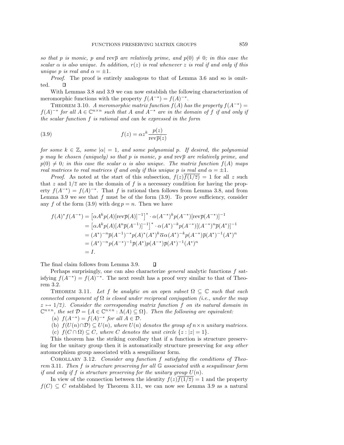so that p is monic, p and rev $\bar{p}$  are relatively prime, and  $p(0) \neq 0$ ; in this case the scalar  $\alpha$  is also unique. In addition,  $r(z)$  is real whenever z is real if and only if this unique p is real and  $\alpha = \pm 1$ .

Proof. The proof is entirely analogous to that of Lemma 3.6 and so is omit- $\Box$ ted.

With Lemmas 3.8 and 3.9 we can now establish the following characterization of meromorphic functions with the property  $f(A^{-*}) = f(A)^{-*}$ .

THEOREM 3.10. A meromorphic matrix function  $f(A)$  has the property  $f(A^{-*}) =$  $f(A)$ <sup>-∗</sup> for all  $A \in \mathbb{C}^{n \times n}$  such that A and  $A^{-*}$  are in the domain of f if and only if the scalar function f is rational and can be expressed in the form

(3.9) 
$$
f(z) = \alpha z^k \frac{p(z)}{\text{rev}\,\overline{p}(z)}
$$

for some  $k \in \mathbb{Z}$ , some  $|\alpha| = 1$ , and some polynomial p. If desired, the polynomial p may be chosen (uniquely) so that p is monic, p and rev $\bar{p}$  are relatively prime, and  $p(0) \neq 0$ ; in this case the scalar  $\alpha$  is also unique. The matrix function  $f(A)$  maps real matrices to real matrices if and only if this unique p is real and  $\alpha = \pm 1$ .

*Proof.* As noted at the start of this subsection,  $f(z)f(1/\overline{z}) = 1$  for all z such that z and  $1/\overline{z}$  are in the domain of f is a necessary condition for having the property  $f(A^{-*}) = f(A)^{-*}$ . That f is rational then follows from Lemma 3.8, and from Lemma 3.9 we see that  $f$  must be of the form  $(3.9)$ . To prove sufficiency, consider any f of the form  $(3.9)$  with deg  $p = n$ . Then we have

$$
f(A)^* f(A^{-*}) = [\alpha A^k p(A)[\text{rev}\overline{p}(A)]^{-1}]^* \cdot \alpha(A^{-*})^k p(A^{-*})[\text{rev}\overline{p}(A^{-*})]^{-1}
$$
  
\n
$$
= [\alpha A^k p(A)[A^n \overline{p}(A^{-1})]^{-1}]^* \cdot \alpha(A^*)^{-k} p(A^{-*})[(A^{-*})^n \overline{p}(A^*)]^{-1}
$$
  
\n
$$
= (A^*)^{-n} \overline{p}(A^{-1})^{-*} p(A)^* (A^*)^k \overline{\alpha} \alpha(A^*)^{-k} p(A^{-*}) \overline{p}(A^*)^{-1} (A^*)^n
$$
  
\n
$$
= (A^*)^{-n} p(A^{-*})^{-1} \overline{p}(A^*) p(A^{-*}) \overline{p}(A^*)^{-1} (A^*)^n
$$
  
\n
$$
= I.
$$

The final claim follows from Lemma 3.9.  $\Box$ 

Perhaps surprisingly, one can also characterize general analytic functions f satisfying  $f(A^{-*}) = f(A)^{-*}$ . The next result has a proof very similar to that of Theorem 3.2.

THEOREM 3.11. Let f be analytic on an open subset  $\Omega \subseteq \mathbb{C}$  such that each connected component of  $\Omega$  is closed under reciprocal conjugation (i.e., under the map  $z \mapsto 1/\overline{z}$ ). Consider the corresponding matrix function f on its natural domain in  $\mathbb{C}^{n \times n}$ , the set  $\mathcal{D} = \{A \in \mathbb{C}^{n \times n} : \Lambda(A) \subseteq \Omega\}$ . Then the following are equivalent:

(a)  $f(A^{-*}) = f(A)^{-*}$  for all  $A \in \mathcal{D}$ .

- (b)  $f(U(n) \cap \mathcal{D}) \subseteq U(n)$ , where  $U(n)$  denotes the group of  $n \times n$  unitary matrices.
- (c)  $f(C \cap \Omega) \subseteq C$ , where C denotes the unit circle  $\{z : |z| = 1\}$ .

This theorem has the striking corollary that if a function is structure preserving for the unitary group then it is automatically structure preserving for any other automorphism group associated with a sesquilinear form.

COROLLARY 3.12. Consider any function  $f$  satisfying the conditions of Theorem 3.11. Then f is structure preserving for all G associated with a sesquilinear form if and only if f is structure preserving for the unitary group  $U(n)$ .

In view of the connection between the identity  $f(z)f(1/\overline{z})=1$  and the property  $f(C) \subseteq C$  established by Theorem 3.11, we can now see Lemma 3.9 as a natural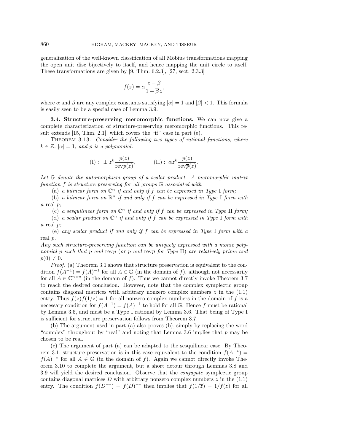generalization of the well-known classification of all Möbius transformations mapping the open unit disc bijectively to itself, and hence mapping the unit circle to itself. These transformations are given by [9, Thm. 6.2.3], [27, sect. 2.3.3]

$$
f(z) = \alpha \frac{z - \beta}{1 - \overline{\beta}z},
$$

where  $\alpha$  and  $\beta$  are any complex constants satisfying  $|\alpha|=1$  and  $|\beta|<1$ . This formula is easily seen to be a special case of Lemma 3.9.

**3.4. Structure-preserving meromorphic functions.** We can now give a complete characterization of structure-preserving meromorphic functions. This result extends [15, Thm. 2.1], which covers the "if" case in part (e).

THEOREM 3.13. Consider the following two types of rational functions, where  $k \in \mathbb{Z}$ ,  $|\alpha| = 1$ , and p is a polynomial:

(I): 
$$
\pm z^k \frac{p(z)}{\text{rev } p(z)},
$$
 (II):  $\alpha z^k \frac{p(z)}{\text{rev } \overline{p}(z)}.$ 

Let G denote the automorphism group of a scalar product. A meromorphic matrix function f is structure preserving for all groups G associated with

(a) a bilinear form on  $\mathbb{C}^n$  if and only if f can be expressed in Type I form;

(b) a bilinear form on  $\mathbb{R}^n$  if and only if f can be expressed in Type I form with a real p;

(c) a sesquilinear form on  $\mathbb{C}^n$  if and only if f can be expressed in Type II form;

(d) a scalar product on  $\mathbb{C}^n$  if and only if f can be expressed in Type I form with a real p;

(e) any scalar product if and only if f can be expressed in Type I form with a real p.

Any such structure-preserving function can be uniquely expressed with a monic polynomial p such that p and revp (or p and rev $\bar{p}$  for Type II) are relatively prime and  $p(0) \neq 0$ .

Proof. (a) Theorem 3.1 shows that structure preservation is equivalent to the condition  $f(A^{-1}) = f(A)^{-1}$  for all  $A \in \mathbb{G}$  (in the domain of f), although not necessarily for all  $A \in \mathbb{C}^{n \times n}$  (in the domain of f). Thus we cannot directly invoke Theorem 3.7 to reach the desired conclusion. However, note that the complex symplectic group contains diagonal matrices with arbitrary nonzero complex numbers  $z$  in the  $(1,1)$ entry. Thus  $f(z)f(1/z) = 1$  for all nonzero complex numbers in the domain of f is a necessary condition for  $f(A^{-1}) = f(A)^{-1}$  to hold for all G. Hence f must be rational by Lemma 3.5, and must be a Type I rational by Lemma 3.6. That being of Type I is sufficient for structure preservation follows from Theorem 3.7.

(b) The argument used in part (a) also proves (b), simply by replacing the word "complex" throughout by "real" and noting that Lemma 3.6 implies that  $p$  may be chosen to be real.

(c) The argument of part (a) can be adapted to the sesquilinear case. By Theorem 3.1, structure preservation is in this case equivalent to the condition  $f(A^{-*})$  =  $f(A)^{-*}$  for all  $A \in \mathbb{G}$  (in the domain of f). Again we cannot directly invoke Theorem 3.10 to complete the argument, but a short detour through Lemmas 3.8 and 3.9 will yield the desired conclusion. Observe that the conjugate symplectic group contains diagonal matrices D with arbitrary nonzero complex numbers  $z$  in the  $(1,1)$ entry. The condition  $f(D^{-*}) = f(D)^{-*}$  then implies that  $f(1/\overline{z}) = 1/\overline{f(z)}$  for all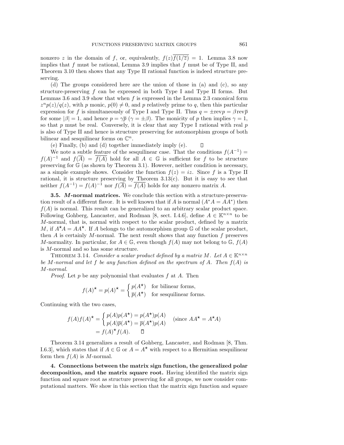nonzero z in the domain of f, or, equivalently,  $f(z)f(1/\overline{z}) = 1$ . Lemma 3.8 now implies that  $f$  must be rational, Lemma 3.9 implies that  $f$  must be of Type II, and Theorem 3.10 then shows that any Type II rational function is indeed structure preserving.

(d) The groups considered here are the union of those in (a) and (c), so any structure-preserving  $f$  can be expressed in both Type I and Type II forms. But Lemmas 3.6 and 3.9 show that when  $f$  is expressed in the Lemma 2.3 canonical form  $z^{n}p(z)/q(z)$ , with p monic,  $p(0) \neq 0$ , and p relatively prime to q, then this particular expression for f is simultaneously of Type I and Type II. Thus  $q = \pm \text{rev} p = \beta \text{rev} \overline{p}$ for some  $|\beta|=1$ , and hence  $p=\gamma\overline{p}$   $(\gamma=\pm\beta)$ . The monicity of p then implies  $\gamma=1$ , so that  $p$  must be real. Conversely, it is clear that any Type I rational with real  $p$ is also of Type II and hence is structure preserving for automorphism groups of both bilinear and sesquilinear forms on  $\mathbb{C}^n$ .

(e) Finally, (b) and (d) together immediately imply (e).  $\Box$ 

We note a subtle feature of the sesquilinear case. That the conditions  $f(A^{-1}) =$  $f(A)^{-1}$  and  $f(\overline{A}) = \overline{f(A)}$  hold for all  $A \in \mathbb{G}$  is sufficient for f to be structure preserving for  $\mathbb{G}$  (as shown by Theorem 3.1). However, neither condition is necessary, as a simple example shows. Consider the function  $f(z) = iz$ . Since f is a Type II rational, it is structure preserving by Theorem  $3.13(c)$ . But it is easy to see that neither  $f(A^{-1}) = f(A)^{-1}$  nor  $f(\overline{A}) = \overline{f(A)}$  holds for any nonzero matrix A.

**3.5.** *M***-normal matrices.** We conclude this section with a structure-preservation result of a different flavor. It is well known that if A is normal  $(A^*A = AA^*)$  then  $f(A)$  is normal. This result can be generalized to an arbitrary scalar product space. Following Gohberg, Lancaster, and Rodman [8, sect. I.4.6], define  $A \in \mathbb{K}^{n \times n}$  to be M-normal, that is, normal with respect to the scalar product, defined by a matrix M, if  $A^{\star}A = AA^{\star}$ . If A belongs to the automorphism group G of the scalar product, then  $A$  is certainly  $M$ -normal. The next result shows that any function  $f$  preserves M-normality. In particular, for  $A \in \mathbb{G}$ , even though  $f(A)$  may not belong to  $\mathbb{G}$ ,  $f(A)$ is M-normal and so has some structure.

THEOREM 3.14. Consider a scalar product defined by a matrix M. Let  $A \in \mathbb{K}^{n \times n}$ be M-normal and let f be any function defined on the spectrum of A. Then  $f(A)$  is M-normal.

*Proof.* Let p be any polynomial that evaluates  $f$  at  $A$ . Then

$$
f(A)^{\star} = p(A)^{\star} = \begin{cases} p(A^{\star}) & \text{for bilinear forms,} \\ \overline{p}(A^{\star}) & \text{for sesquilinear forms.} \end{cases}
$$

Continuing with the two cases,

$$
f(A)f(A)^{\star} = \begin{cases} p(A)p(A^{\star}) = p(A^{\star})p(A) \\ p(A)\overline{p}(A^{\star}) = \overline{p}(A^{\star})p(A) \end{cases} \text{ (since } AA^{\star} = A^{\star}A\text{)}
$$

$$
= f(A)^{\star} f(A). \square
$$

Theorem 3.14 generalizes a result of Gohberg, Lancaster, and Rodman [8, Thm. I.6.3], which states that if  $A \in \mathbb{G}$  or  $A = A^*$  with respect to a Hermitian sesquilinear form then  $f(A)$  is M-normal.

**4. Connections between the matrix sign function, the generalized polar decomposition, and the matrix square root.** Having identified the matrix sign function and square root as structure preserving for all groups, we now consider computational matters. We show in this section that the matrix sign function and square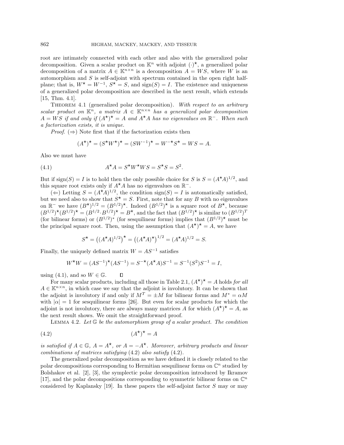root are intimately connected with each other and also with the generalized polar decomposition. Given a scalar product on  $\mathbb{K}^n$  with adjoint  $(\cdot)^{\star}$ , a generalized polar decomposition of a matrix  $A \in \mathbb{K}^{n \times n}$  is a decomposition  $A = WS$ , where W is an automorphism and  $S$  is self-adjoint with spectrum contained in the open right halfplane; that is,  $W^* = W^{-1}$ ,  $S^* = S$ , and  $sign(S) = I$ . The existence and uniqueness of a generalized polar decomposition are described in the next result, which extends [15, Thm. 4.1].

THEOREM 4.1 (generalized polar decomposition). With respect to an arbitrary scalar product on  $\mathbb{K}^n$ , a matrix  $A \in \mathbb{K}^{n \times n}$  has a generalized polar decomposition  $A = WS$  if and only if  $(A^{\star})^{\star} = A$  and  $A^{\star}A$  has no eigenvalues on  $\mathbb{R}^-$ . When such a factorization exists, it is unique.

*Proof.*  $(\Rightarrow)$  Note first that if the factorization exists then

$$
(A^{\star})^{\star} = (S^{\star}W^{\star})^{\star} = (SW^{-1})^{\star} = W^{-\star}S^{\star} = WS = A.
$$

Also we must have

(4.1) 
$$
A^{\star} A = S^{\star} W^{\star} W S = S^{\star} S = S^2.
$$

But if  $sign(S) = I$  is to hold then the only possible choice for S is  $S = (A^*A)^{1/2}$ , and this square root exists only if  $A^{\star}A$  has no eigenvalues on  $\mathbb{R}^-$ .

 $(\Leftarrow)$  Letting  $S = (A^{\star}A)^{1/2}$ , the condition sign(S) = I is automatically satisfied, but we need also to show that  $S^* = S$ . First, note that for any B with no eigenvalues on  $\mathbb{R}^-$  we have  $(B^{\star})^{1/2} = (B^{1/2})^{\star}$ . Indeed  $(B^{1/2})^{\star}$  is a square root of  $B^{\star}$ , because  $(B^{1/2})^{\star}(B^{1/2})^{\star} = (B^{1/2} \cdot B^{1/2})^{\star} = B^{\star}$ , and the fact that  $(B^{1/2})^{\star}$  is similar to  $(B^{1/2})^T$ (for bilinear forms) or  $(B^{1/2})^*$  (for sesquilinear forms) implies that  $(B^{1/2})^*$  must be the principal square root. Then, using the assumption that  $(A^{\star})^{\star} = A$ , we have

$$
S^{\star} = ((A^{\star}A)^{1/2})^{\star} = ((A^{\star}A)^{\star})^{1/2} = (A^{\star}A)^{1/2} = S.
$$

Finally, the uniquely defined matrix  $W = AS^{-1}$  satisfies

$$
W^{\star}W = (AS^{-1})^{\star}(AS^{-1}) = S^{-\star}(A^{\star}A)S^{-1} = S^{-1}(S^2)S^{-1} = I,
$$

using (4.1), and so  $W \in \mathbb{G}$ .

g (4.1), and so  $W \in \mathbb{G}$ .  $\Box$ <br>For many scalar products, including all those in Table 2.1,  $(A^{\star})^{\star} = A$  holds for all  $A \in \mathbb{K}^{n \times n}$ , in which case we say that the adjoint is involutory. It can be shown that the adjoint is involutory if and only if  $M^T = \pm M$  for bilinear forms and  $M^* = \alpha M$ with  $|\alpha| = 1$  for sesquilinear forms [26]. But even for scalar products for which the adjoint is not involutory, there are always many matrices A for which  $(A^{\star})^{\star} = A$ , as the next result shows. We omit the straightforward proof.

LEMMA 4.2. Let  $\mathbb G$  be the automorphism group of a scalar product. The condition

$$
(4.2)\t\t\t\t(A^{\star})^{\star} = A
$$

is satisfied if  $A \in \mathbb{G}$ ,  $A = A^*$ , or  $A = -A^*$ . Moreover, arbitrary products and linear combinations of matrices satisfying (4.2) also satisfy (4.2).

The generalized polar decomposition as we have defined it is closely related to the polar decompositions corresponding to Hermitian sesquilinear forms on  $\mathbb{C}^n$  studied by Bolshakov et al. [2], [3], the symplectic polar decomposition introduced by Ikramov [17], and the polar decompositions corresponding to symmetric bilinear forms on  $\mathbb{C}^n$ considered by Kaplansky  $[19]$ . In these papers the self-adjoint factor S may or may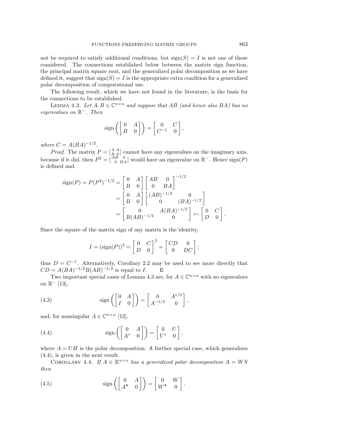not be required to satisfy additional conditions, but  $sign(S) = I$  is not one of those considered. The connections established below between the matrix sign function, the principal matrix square root, and the generalized polar decomposition as we have defined it, suggest that  $sign(S) = I$  is the appropriate extra condition for a generalized polar decomposition of computational use.

The following result, which we have not found in the literature, is the basis for the connections to be established.

LEMMA 4.3. Let  $A, B \in \mathbb{C}^{n \times n}$  and suppose that AB (and hence also BA) has no eigenvalues on R−. Then

$$
\text{sign}\left(\left[ \begin{matrix} 0 & A \\ B & 0 \end{matrix} \right]\right) = \left[ \begin{matrix} 0 & C \\ C^{-1} & 0 \end{matrix} \right],
$$

where  $C = A(BA)^{-1/2}$ .

*Proof.* The matrix  $P = \begin{bmatrix} 0 & A \\ B & Q \end{bmatrix}$  cannot have any eigenvalues on the imaginary axis, because if it did, then  $P^2 = \begin{bmatrix} AB & 0 \\ 0 & BA \end{bmatrix}$  would have an eigenvalue on  $\mathbb{R}^-$ . Hence  $\text{sign}(P)$ is defined and

$$
\text{sign}(P) = P(P^2)^{-1/2} = \begin{bmatrix} 0 & A \\ B & 0 \end{bmatrix} \begin{bmatrix} AB & 0 \\ 0 & BA \end{bmatrix}^{-1/2}
$$

$$
= \begin{bmatrix} 0 & A \\ B & 0 \end{bmatrix} \begin{bmatrix} (AB)^{-1/2} & 0 \\ 0 & (BA)^{-1/2} \end{bmatrix}
$$

$$
= \begin{bmatrix} 0 & A(BA)^{-1/2} \\ B(AB)^{-1/2} & 0 \end{bmatrix} =: \begin{bmatrix} 0 & C \\ D & 0 \end{bmatrix}.
$$

Since the square of the matrix sign of any matrix is the identity,

$$
I = (\text{sign}(P))^2 = \begin{bmatrix} 0 & C \\ D & 0 \end{bmatrix}^2 = \begin{bmatrix} CD & 0 \\ 0 & DC \end{bmatrix};
$$

thus  $D = C^{-1}$ . Alternatively, Corollary 2.2 may be used to see more directly that  $CD = A(BA)^{-1/2}B(AB)^{-1/2}$  is equal to I.  $\Box$ 

Two important special cases of Lemma 4.3 are, for  $A \in \mathbb{C}^{n \times n}$  with no eigenvalues on  $\mathbb{R}^{-}$  [13],

(4.3) 
$$
\operatorname{sign}\left(\begin{bmatrix} 0 & A \\ I & 0 \end{bmatrix}\right) = \begin{bmatrix} 0 & A^{1/2} \\ A^{-1/2} & 0 \end{bmatrix},
$$

and, for nonsingular  $A \in \mathbb{C}^{n \times n}$  [12],

(4.4) 
$$
\operatorname{sign}\left(\begin{bmatrix} 0 & A \\ A^* & 0 \end{bmatrix}\right) = \begin{bmatrix} 0 & U \\ U^* & 0 \end{bmatrix},
$$

where  $A = UH$  is the polar decomposition. A further special case, which generalizes (4.4), is given in the next result.

COROLLARY 4.4. If  $A \in \mathbb{K}^{n \times n}$  has a generalized polar decomposition  $A = WS$ then

(4.5) 
$$
\operatorname{sign}\left(\begin{bmatrix} 0 & A \\ A^{\star} & 0 \end{bmatrix}\right) = \begin{bmatrix} 0 & W \\ W^{\star} & 0 \end{bmatrix}.
$$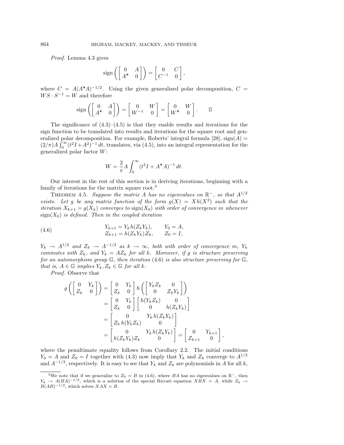Proof. Lemma 4.3 gives

$$
\text{sign}\left(\begin{bmatrix} 0 & A \\ A^\star & 0 \end{bmatrix}\right) = \begin{bmatrix} 0 & C \\ C^{-1} & 0 \end{bmatrix},
$$

where  $C = A(A^{\star}A)^{-1/2}$ . Using the given generalized polar decomposition,  $C =$  $WS \cdot S^{-1} = W$  and therefore

$$
sign\left(\begin{bmatrix} 0 & A \\ A^{\star} & 0 \end{bmatrix}\right) = \begin{bmatrix} 0 & W \\ W^{-1} & 0 \end{bmatrix} = \begin{bmatrix} 0 & W \\ W^{\star} & 0 \end{bmatrix}.
$$

The significance of  $(4.3)$ – $(4.5)$  is that they enable results and iterations for the sign function to be translated into results and iterations for the square root and generalized polar decomposition. For example, Roberts' integral formula [28],  $sign(A)$  =  $(2/\pi)A \int_0^\infty (t^2I + A^2)^{-1} dt$ , translates, via (4.5), into an integral representation for the generalized polar factor W:

$$
W = \frac{2}{\pi} A \int_0^{\infty} (t^2 I + A^{\star} A)^{-1} dt.
$$

Our interest in the rest of this section is in deriving iterations, beginning with a family of iterations for the matrix square root.<sup>3</sup>

THEOREM 4.5. Suppose the matrix A has no eigenvalues on  $\mathbb{R}^-$ , so that  $A^{1/2}$ exists. Let g be any matrix function of the form  $g(X) = Xh(X^2)$  such that the iteration  $X_{k+1} = g(X_k)$  converges to sign( $X_0$ ) with order of convergence m whenever  $sign(X_0)$  is defined. Then in the coupled iteration

(4.6) 
$$
Y_{k+1} = Y_k h(Z_k Y_k), \t Y_0 = A,
$$

$$
Z_{k+1} = h(Z_k Y_k) Z_k, \t Z_0 = I,
$$

 $Y_k \rightarrow A^{1/2}$  and  $Z_k \rightarrow A^{-1/2}$  as  $k \rightarrow \infty$ , both with order of convergence m,  $Y_k$ commutes with  $Z_k$ , and  $Y_k = AZ_k$  for all k. Moreover, if g is structure preserving for an automorphism group  $\mathbb{G}$ , then iteration (4.6) is also structure preserving for  $\mathbb{G}$ , that is,  $A \in \mathbb{G}$  implies  $Y_k, Z_k \in \mathbb{G}$  for all k.

Proof. Observe that

$$
g\left(\begin{bmatrix} 0 & Y_k \ Z_k & 0 \end{bmatrix}\right) = \begin{bmatrix} 0 & Y_k \ Z_k & 0 \end{bmatrix} h\left(\begin{bmatrix} Y_k Z_k & 0 \ 0 & Z_k Y_k \end{bmatrix}\right)
$$
  
\n
$$
= \begin{bmatrix} 0 & Y_k \ Z_k & 0 \end{bmatrix} \begin{bmatrix} h(Y_k Z_k) & 0 \ 0 & h(Z_k Y_k) \end{bmatrix}
$$
  
\n
$$
= \begin{bmatrix} 0 & Y_k h(Z_k Y_k) \ Z_k h(Y_k Z_k) & 0 \end{bmatrix}
$$
  
\n
$$
= \begin{bmatrix} 0 & Y_k h(Z_k Y_k) \ R(Z_k Y_k) & 0 \end{bmatrix} = \begin{bmatrix} 0 & Y_{k+1} \ Z_{k+1} & 0 \end{bmatrix},
$$

where the penultimate equality follows from Corollary 2.2. The initial conditions  $Y_0 = A$  and  $Z_0 = I$  together with (4.3) now imply that  $Y_k$  and  $Z_k$  converge to  $A^{1/2}$ and  $A^{-1/2}$ , respectively. It is easy to see that  $Y_k$  and  $Z_k$  are polynomials in A for all k,

<sup>&</sup>lt;sup>3</sup>We note that if we generalize to  $Z_0 = B$  in (4.6), where BA has no eigenvalues on  $\mathbb{R}^-$ , then  $Y_k \to A(BA)^{-1/2}$ , which is a solution of the special Riccati equation  $XBX = A$ , while  $Z_k \to$  $B(AB)^{-1/2}$ , which solves  $XAX = B$ .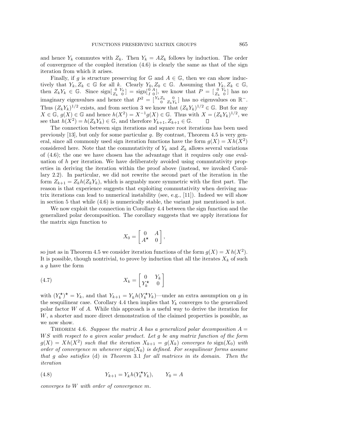and hence  $Y_k$  commutes with  $Z_k$ . Then  $Y_k = AZ_k$  follows by induction. The order of convergence of the coupled iteration  $(4.6)$  is clearly the same as that of the sign iteration from which it arises.

Finally, if g is structure preserving for  $\mathbb{G}$  and  $A \in \mathbb{G}$ , then we can show inductively that  $Y_k, Z_k \in \mathbb{G}$  for all k. Clearly  $Y_0, Z_0 \in \mathbb{G}$ . Assuming that  $Y_k, Z_k \in \mathbb{G}$ , then  $Z_k Y_k \in \mathbb{G}$ . Since  $\text{sign}[\frac{0}{Z_k} Y_k] = \text{sign}[\frac{0}{I} \frac{A}{0}]$ , we know that  $P = [\frac{0}{Z_k} \frac{Y_k}{0}]$  has no imaginary eigenvalues and hence that  $P^2 = \begin{bmatrix} Y_k Z_k & 0 \\ 0 & Z_k Y_k \end{bmatrix}$  has no eigenvalues on  $\mathbb{R}^-$ . Thus  $(Z_kY_k)^{1/2}$  exists, and from section 3 we know that  $(Z_kY_k)^{1/2} \in \mathbb{G}$ . But for any  $X \in \mathbb{G}$ ,  $g(X) \in \mathbb{G}$  and hence  $h(X^2) = X^{-1}g(X) \in \mathbb{G}$ . Thus with  $X = (Z_kY_k)^{1/2}$ , we see that  $h(X^2) = h(Z_k Y_k) \in \mathbb{G}$ , and therefore  $Y_{k+1}, Z_{k+1} \in \mathbb{G}$ .

The connection between sign iterations and square root iterations has been used previously [13], but only for some particular q. By contrast, Theorem 4.5 is very general, since all commonly used sign iteration functions have the form  $g(X) = Xh(X^2)$ considered here. Note that the commutativity of  $Y_k$  and  $Z_k$  allows several variations of (4.6); the one we have chosen has the advantage that it requires only one evaluation of  $h$  per iteration. We have deliberately avoided using commutativity properties in deriving the iteration within the proof above (instead, we invoked Corollary 2.2). In particular, we did not rewrite the second part of the iteration in the form  $Z_{k+1} = Z_k h(Z_k Y_k)$ , which is arguably more symmetric with the first part. The reason is that experience suggests that exploiting commutativity when deriving matrix iterations can lead to numerical instability (see, e.g., [11]). Indeed we will show in section 5 that while (4.6) is numerically stable, the variant just mentioned is not.

We now exploit the connection in Corollary 4.4 between the sign function and the generalized polar decomposition. The corollary suggests that we apply iterations for the matrix sign function to

$$
X_0 = \begin{bmatrix} 0 & A \\ A^\star & 0 \end{bmatrix},
$$

so just as in Theorem 4.5 we consider iteration functions of the form  $q(X) = X h(X^2)$ . It is possible, though nontrivial, to prove by induction that all the iterates  $X_k$  of such a g have the form

(4.7) 
$$
X_k = \begin{bmatrix} 0 & Y_k \\ Y_k^{\star} & 0 \end{bmatrix}
$$

with  $(Y_k^{\star})^{\star} = Y_k$ , and that  $Y_{k+1} = Y_k h(Y_k^{\star} Y_k)$ —under an extra assumption on g in the sesquilinear case. Corollary 4.4 then implies that  $Y_k$  converges to the generalized polar factor W of A. While this approach is a useful way to derive the iteration for W, a shorter and more direct demonstration of the claimed properties is possible, as we now show.

THEOREM 4.6. Suppose the matrix A has a generalized polar decomposition  $A =$ WS with respect to a given scalar product. Let g be any matrix function of the form  $g(X) = Xh(X^2)$  such that the iteration  $X_{k+1} = g(X_k)$  converges to sign(X<sub>0</sub>) with order of convergence m whenever  $sign(X_0)$  is defined. For sesquilinear forms assume that g also satisfies (d) in Theorem 3.1 for all matrices in its domain. Then the iteration

(4.8) 
$$
Y_{k+1} = Y_k h(Y_k^{\star} Y_k), \qquad Y_0 = A
$$

converges to W with order of convergence m.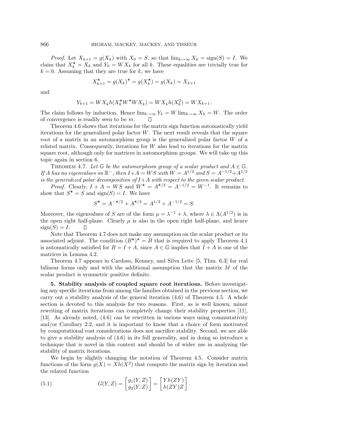*Proof.* Let  $X_{k+1} = g(X_k)$  with  $X_0 = S$ , so that  $\lim_{k \to \infty} X_k = \text{sign}(S) = I$ . We claim that  $X_k^* = X_k$  and  $Y_k = W X_k$  for all k. These equalities are trivially true for  $k = 0$ . Assuming that they are true for k, we have

$$
X_{k+1}^{\star} = g(X_k)^{\star} = g(X_k^{\star}) = g(X_k) = X_{k+1}
$$

and

$$
Y_{k+1} = W X_k h(X_k^{\star} W^{\star} W X_k) = W X_k h(X_k^2) = W X_{k+1}.
$$

The claim follows by induction. Hence  $\lim_{k\to\infty} Y_k = W \lim_{k\to\infty} X_k = W$ . The order of convergence is readily seen to be m.

Theorem 4.6 shows that iterations for the matrix sign function automatically yield iterations for the generalized polar factor  $W$ . The next result reveals that the square root of a matrix in an automorphism group is the generalized polar factor W of a related matrix. Consequently, iterations for W also lead to iterations for the matrix square root, although only for matrices in automorphism groups. We will take up this topic again in section 6.

THEOREM 4.7. Let  $\mathbb G$  be the automorphism group of a scalar product and  $A \in \mathbb G$ . If A has no eigenvalues on  $\mathbb{R}^-$ , then  $I+A=WS$  with  $W=A^{1/2}$  and  $S=A^{-1/2}+A^{1/2}$ is the generalized polar decomposition of  $I+A$  with respect to the given scalar product.

*Proof.* Clearly,  $I + A = WS$  and  $W^* = A^{*/2} = A^{-1/2} = W^{-1}$ . It remains to show that  $S^* = S$  and  $sign(S) = I$ . We have

$$
S^{\star} = A^{-\star/2} + A^{\star/2} = A^{1/2} + A^{-1/2} = S.
$$

Moreover, the eigenvalues of S are of the form  $\mu = \lambda^{-1} + \lambda$ , where  $\lambda \in \Lambda(A^{1/2})$  is in the open right half-plane. Clearly  $\mu$  is also in the open right half-plane, and hence  $sign(S) = I.$ П

Note that Theorem 4.7 does not make any assumption on the scalar product or its associated adjoint. The condition  $(B^{\star})^{\star} = B$  that is required to apply Theorem 4.1 is automatically satisfied for  $B = I + A$ , since  $A \in \mathbb{G}$  implies that  $I + A$  is one of the matrices in Lemma 4.2.

Theorem 4.7 appears in Cardoso, Kenney, and Silva Leite [5, Thm. 6.3] for real bilinear forms only and with the additional assumption that the matrix M of the scalar product is symmetric positive definite.

**5. Stability analysis of coupled square root iterations.** Before investigating any specific iterations from among the families obtained in the previous section, we carry out a stability analysis of the general iteration (4.6) of Theorem 4.5. A whole section is devoted to this analysis for two reasons. First, as is well known, minor rewriting of matrix iterations can completely change their stability properties [11], [13]. As already noted, (4.6) can be rewritten in various ways using commutativity and/or Corollary 2.2, and it is important to know that a choice of form motivated by computational cost considerations does not sacrifice stability. Second, we are able to give a stability analysis of (4.6) in its full generality, and in doing so introduce a technique that is novel in this context and should be of wider use in analyzing the stability of matrix iterations.

We begin by slightly changing the notation of Theorem 4.5. Consider matrix functions of the form  $g(X) = Xh(X^2)$  that compute the matrix sign by iteration and the related function

(5.1) 
$$
G(Y,Z) = \begin{bmatrix} g_1(Y,Z) \\ g_2(Y,Z) \end{bmatrix} = \begin{bmatrix} Yh(ZY) \\ h(ZY)Z \end{bmatrix}.
$$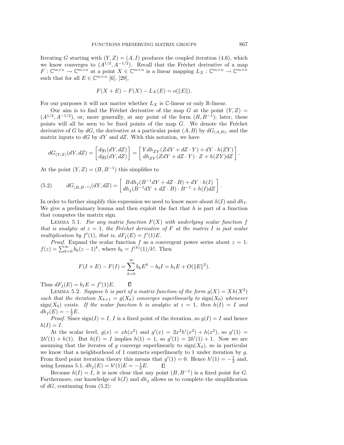Iterating G starting with  $(Y, Z) = (A, I)$  produces the coupled iteration (4.6), which we know converges to  $(A^{1/2}, A^{-1/2})$ . Recall that the Fréchet derivative of a map  $F: \mathbb{C}^{m \times n} \to \mathbb{C}^{m \times n}$  at a point  $X \in \mathbb{C}^{m \times n}$  is a linear mapping  $L_X: \mathbb{C}^{m \times n} \to \mathbb{C}^{m \times n}$ such that for all  $E \in \mathbb{C}^{m \times n}$  [6], [29],

$$
F(X + E) - F(X) - L_X(E) = o(||E||).
$$

For our purposes it will not matter whether  $L_X$  is  $\mathbb{C}\text{-linear}$  or only R-linear.

Our aim is to find the Fréchet derivative of the map G at the point  $(Y, Z)$  $(A^{1/2}, A^{-1/2})$ , or, more generally, at any point of the form  $(B, B^{-1})$ ; later, these points will all be seen to be fixed points of the map  $G$ . We denote the Fréchet derivative of G by dG, the derivative at a particular point  $(A, B)$  by  $dG_{(A, B)}$ , and the matrix inputs to  $dG$  by  $dY$  and  $dZ$ . With this notation, we have

$$
dG_{(Y,Z)}(dY,dZ) = \begin{bmatrix} dg_1(dY,dZ) \\ dg_2(dY,dZ) \end{bmatrix} = \begin{bmatrix} Ydh_{ZY}(ZdY+dZ\cdot Y) + dY\cdot h(ZY) \\ dh_{ZY}(ZdY+dZ\cdot Y)\cdot Z + h(ZY)dZ \end{bmatrix}.
$$

At the point  $(Y, Z) = (B, B^{-1})$  this simplifies to

(5.2) 
$$
dG_{(B,B^{-1})}(dY,dZ) = \begin{bmatrix} B\,dh_I(B^{-1}dY + dZ \cdot B) + dY \cdot h(I) \\ dh_I(B^{-1}dY + dZ \cdot B) \cdot B^{-1} + h(I)dZ \end{bmatrix}.
$$

In order to further simplify this expression we need to know more about  $h(I)$  and  $dh_I$ . We give a preliminary lemma and then exploit the fact that  $h$  is part of a function that computes the matrix sign.

LEMMA 5.1. For any matrix function  $F(X)$  with underlying scalar function f that is analytic at  $z = 1$ , the Fréchet derivative of F at the matrix I is just scalar multiplication by  $f'(1)$ , that is,  $dF_I(E) = f'(1)E$ .

*Proof.* Expand the scalar function f as a convergent power series about  $z = 1$ :  $f(z) = \sum_{k=0}^{\infty} b_k (z-1)^k$ , where  $b_k = f^{(k)}(1)/k!$ . Then

$$
F(I + E) - F(I) = \sum_{k=0}^{\infty} b_k E^k - b_0 I = b_1 E + O(||E||^2).
$$

 $\Box$ Thus  $dF_I(E) = b_1 E = f'(1)E$ .

LEMMA 5.2. Suppose h is part of a matrix function of the form  $g(X) = Xh(X^2)$ such that the iteration  $X_{k+1} = g(X_k)$  converges superlinearly to  $sign(X_0)$  whenever  $sign(X_0)$  exists. If the scalar function h is analytic at  $z = 1$ , then  $h(I) = I$  and  $dh_I(E) = -\frac{1}{2}E.$ 

*Proof.* Since  $sign(I) = I$ , I is a fixed point of the iteration, so  $g(I) = I$  and hence  $h(I) = I.$ 

At the scalar level,  $g(x) = xh(x^2)$  and  $g'(x) = 2x^2h'(x^2) + h(x^2)$ , so  $g'(1) =$  $2h'(1) + h(1)$ . But  $h(I) = I$  implies  $h(1) = 1$ , so  $g'(1) = 2h'(1) + 1$ . Now we are assuming that the iterates of g converge superlinearly to  $sign(X_0)$ , so in particular we know that a neighborhood of 1 contracts superlinearly to 1 under iteration by g. From fixed point iteration theory this means that  $g'(1) = 0$ . Hence  $h'(1) = -\frac{1}{2}$  and, using Lemma 5.1,  $dh_I(E) = h'(1)E = -\frac{1}{2}E$ .  $\Box$ 

Because  $h(I) = I$ , it is now clear that any point  $(B, B^{-1})$  is a fixed point for G. Furthermore, our knowledge of  $h(I)$  and  $dh_I$  allows us to complete the simplification of  $dG$ , continuing from  $(5.2)$ :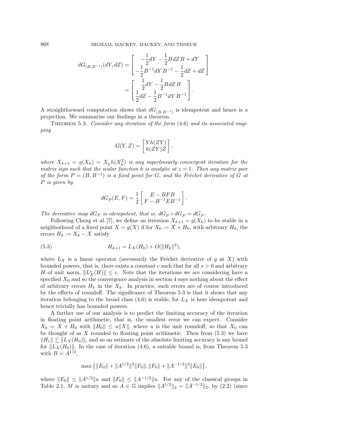$$
dG_{(B,B^{-1})}(dY,dZ) = \begin{bmatrix} -\frac{1}{2}dY - \frac{1}{2}BdZ B + dY \\ -\frac{1}{2}B^{-1}dY B^{-1} - \frac{1}{2}dZ + dZ \end{bmatrix}
$$
  
= 
$$
\begin{bmatrix} \frac{1}{2}dY - \frac{1}{2}BdZ B \\ \frac{1}{2}dZ - \frac{1}{2}B^{-1}dY B^{-1} \end{bmatrix}.
$$

A straightforward computation shows that  $dG_{(B,B^{-1})}$  is idempotent and hence is a projection. We summarize our findings in a theorem.

THEOREM 5.3. Consider any iteration of the form  $(4.6)$  and its associated mapping

$$
G(Y,Z)=\begin{bmatrix} Yh(ZY) \\ h(ZY)Z \end{bmatrix},
$$

where  $X_{k+1} = g(X_k) = X_k h(X_k^2)$  is any superlinearly convergent iteration for the matrix sign such that the scalar function h is analytic at  $z = 1$ . Then any matrix pair of the form  $P = (B, B^{-1})$  is a fixed point for G, and the Fréchet derivative of G at P is given by

$$
dG_P(E, F) = \frac{1}{2} \left[ \begin{array}{c} E - BFB \\ F - B^{-1}EB^{-1} \end{array} \right].
$$

The derivative map  $dG_P$  is idempotent, that is,  $dG_P \circ dG_P = dG_P$ .

Following Cheng et al. [7], we define an iteration  $X_{k+1} = g(X_k)$  to be stable in a neighborhood of a fixed point  $X = g(X)$  if for  $X_0 := X + H_0$ , with arbitrary  $H_0$ , the errors  $H_k := X_k - X$  satisfy

(5.3) 
$$
H_{k+1} = L_X(H_k) + O(||H_k||^2),
$$

where  $L_X$  is a linear operator (necessarily the Fréchet derivative of g at X) with bounded powers, that is, there exists a constant c such that for all  $s > 0$  and arbitrary H of unit norm,  $||L_X^s(H)|| \leq c$ . Note that the iterations we are considering have a specified  $X_0$  and so the convergence analysis in section 4 says nothing about the effect of arbitrary errors  $H_k$  in the  $X_k$ . In practice, such errors are of course introduced by the effects of roundoff. The significance of Theorem 5.3 is that it shows that any iteration belonging to the broad class  $(4.6)$  is stable, for  $L_X$  is here idempotent and hence trivially has bounded powers.

A further use of our analysis is to predict the limiting accuracy of the iteration in floating point arithmetic, that is, the smallest error we can expect. Consider  $X_0 = X + H_0$  with  $||H_0|| \leq u||X||$ , where u is the unit roundoff, so that  $X_0$  can be thought of as  $X$  rounded to floating point arithmetic. Then from  $(5.3)$  we have  $||H_1|| \lesssim ||L_X(H_0)||$ , and so an estimate of the absolute limiting accuracy is any bound for  $||L_X(H_0)||$ . In the case of iteration (4.6), a suitable bound is, from Theorem 5.3 with  $B = A^{1/2}$ ,

$$
\max\left\{\|E_0\|+\|A^{1/2}\|^2\|F_0\|,\|F_0\|+\|A^{-1/2}\|^2\|E_0\|\right\},\
$$

where  $||E_0|| \leq ||A^{1/2}||u$  and  $||F_0|| \leq ||A^{-1/2}||u$ . For any of the classical groups in Table 2.1, M is unitary and so  $A \in \mathbb{G}$  implies  $||A^{1/2}||_2 = ||A^{-1/2}||_2$ , by (2.2) (since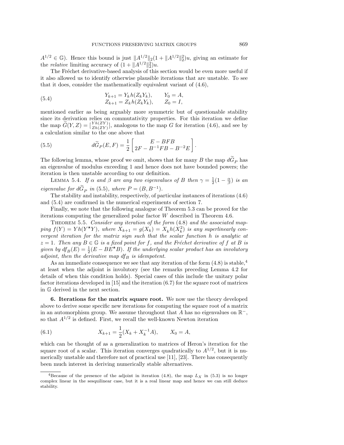$A^{1/2} \in \mathbb{G}$ ). Hence this bound is just  $||A^{1/2}||_2(1 + ||A^{1/2}||_2^2)u$ , giving an estimate for the *relative* limiting accuracy of  $(1 + ||A^{1/2}||_2^2)u$ .

The Fréchet derivative-based analysis of this section would be even more useful if it also allowed us to identify otherwise plausible iterations that are unstable. To see that it does, consider the mathematically equivalent variant of (4.6),

(5.4) 
$$
Y_{k+1} = Y_k h(Z_k Y_k), \t Y_0 = A,
$$

$$
Z_{k+1} = Z_k h(Z_k Y_k), \t Z_0 = I,
$$

mentioned earlier as being arguably more symmetric but of questionable stability since its derivation relies on commutativity properties. For this iteration we define the map  $\widetilde{G}(Y,Z) = \begin{bmatrix} Yh(ZY) \\ Zh(ZY) \end{bmatrix}$ , analogous to the map G for iteration (4.6), and see by a calculation similar to the one above that

(5.5) 
$$
d\widetilde{G}_P(E,F) = \frac{1}{2} \begin{bmatrix} E - BFB \\ 2F - B^{-1}FB - B^{-2}E \end{bmatrix}.
$$

The following lemma, whose proof we omit, shows that for many B the map  $d\tilde{G}_P$  has an eigenvalue of modulus exceeding 1 and hence does not have bounded powers; the iteration is then unstable according to our definition.

LEMMA 5.4. If  $\alpha$  and  $\beta$  are any two eigenvalues of B then  $\gamma = \frac{1}{2}(1 - \frac{\alpha}{\beta})$  is an eigenvalue for  $d\tilde{G}_P$  in (5.5), where  $P = (B, B^{-1})$ .

The stability and instability, respectively, of particular instances of iterations (4.6) and (5.4) are confirmed in the numerical experiments of section 7.

Finally, we note that the following analogue of Theorem 5.3 can be proved for the iterations computing the generalized polar factor W described in Theorem 4.6.

THEOREM 5.5. Consider any iteration of the form  $(4.8)$  and the associated mapping  $f(Y) = Yh(Y^*Y)$ , where  $X_{k+1} = g(X_k) = X_k h(X_k^2)$  is any superlinearly convergent iteration for the matrix sign such that the scalar function h is analytic at  $z = 1$ . Then any  $B \in \mathbb{G}$  is a fixed point for f, and the Fréchet derivative of f at B is given by  $df_B(E) = \frac{1}{2}(E - B\ddot{E} + B)$ . If the underlying scalar product has an involutory adjoint, then the derivative map  $df_B$  is idempotent.

As an immediate consequence we see that any iteration of the form  $(4.8)$  is stable,<sup>4</sup> at least when the adjoint is involutory (see the remarks preceding Lemma 4.2 for details of when this condition holds). Special cases of this include the unitary polar factor iterations developed in  $[15]$  and the iteration  $(6.7)$  for the square root of matrices in G derived in the next section.

**6. Iterations for the matrix square root.** We now use the theory developed above to derive some specific new iterations for computing the square root of a matrix in an automorphism group. We assume throughout that A has no eigenvalues on  $\mathbb{R}^-$ , so that  $A^{1/2}$  is defined. First, we recall the well-known Newton iteration

(6.1) 
$$
X_{k+1} = \frac{1}{2}(X_k + X_k^{-1}A), \qquad X_0 = A,
$$

which can be thought of as a generalization to matrices of Heron's iteration for the square root of a scalar. This iteration converges quadratically to  $A^{1/2}$ , but it is numerically unstable and therefore not of practical use [11], [23]. There has consequently been much interest in deriving numerically stable alternatives.

<sup>&</sup>lt;sup>4</sup>Because of the presence of the adjoint in iteration (4.8), the map  $L_X$  in (5.3) is no longer complex linear in the sesquilinear case, but it is a real linear map and hence we can still deduce stability.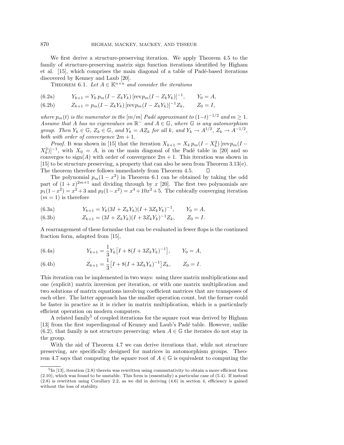We first derive a structure-preserving iteration. We apply Theorem 4.5 to the family of structure-preserving matrix sign function iterations identified by Higham et al. [15], which comprises the main diagonal of a table of Padé-based iterations discovered by Kenney and Laub [20].

THEOREM 6.1. Let  $A \in \mathbb{K}^{n \times n}$  and consider the iterations

(6.2a) 
$$
Y_{k+1} = Y_k p_m (I - Z_k Y_k) [\text{rev} p_m (I - Z_k Y_k)]^{-1}, \qquad Y_0 = A,
$$

(6.2b) 
$$
Z_{k+1} = p_m(I - Z_k Y_k) [\text{rev} p_m (I - Z_k Y_k)]^{-1} Z_k, \qquad Z_0 = I,
$$

where  $p_m(t)$  is the numerator in the  $[m/m]$  Padé approximant to  $(1-t)^{-1/2}$  and  $m \ge 1$ . Assume that A has no eigenvalues on  $\mathbb{R}^-$  and  $A \in \mathbb{G}$ , where  $\mathbb{G}$  is any automorphism group. Then  $Y_k \in \mathbb{G}$ ,  $Z_k \in \mathbb{G}$ , and  $Y_k = AZ_k$  for all k, and  $Y_k \to A^{1/2}$ ,  $Z_k \to A^{-1/2}$ , both with order of convergence  $2m + 1$ .

*Proof.* It was shown in [15] that the iteration  $X_{k+1} = X_k p_m (I - X_k^2)$  [rev $p_m(I - X_k^2)$ ]  $(X_k^2)^{-1}$ , with  $X_0 = A$ , is on the main diagonal of the Padé table in [20] and so converges to  $sign(A)$  with order of convergence  $2m + 1$ . This iteration was shown in [15] to be structure preserving, a property that can also be seen from Theorem 3.13(e). The theorem therefore follows immediately from Theorem 4.5. П

The polynomial  $p_m(1-x^2)$  in Theorem 6.1 can be obtained by taking the odd part of  $(1+x)^{2m+1}$  and dividing through by x [20]. The first two polynomials are  $p_1(1-x^2) = x^2 + 3$  and  $p_2(1-x^2) = x^4 + 10x^2 + 5$ . The cubically converging iteration  $(m = 1)$  is therefore

(6.3a) 
$$
Y_{k+1} = Y_k(3I + Z_kY_k)(I + 3Z_kY_k)^{-1}, \qquad Y_0 = A,
$$

(6.3b) 
$$
Z_{k+1} = (3I + Z_k Y_k)(I + 3Z_k Y_k)^{-1} Z_k, \qquad Z_0 = I.
$$

A rearrangement of these formulae that can be evaluated in fewer flops is the continued fraction form, adapted from [15],

(6.4a) 
$$
Y_{k+1} = \frac{1}{3} Y_k [I + 8(I + 3Z_k Y_k)^{-1}], \qquad Y_0 = A,
$$

(6.4b) 
$$
Z_{k+1} = \frac{1}{3} \left[ I + 8(I + 3Z_k Y_k)^{-1} \right] Z_k, \qquad Z_0 = I.
$$

This iteration can be implemented in two ways: using three matrix multiplications and one (explicit) matrix inversion per iteration, or with one matrix multiplication and two solutions of matrix equations involving coefficient matrices that are transposes of each other. The latter approach has the smaller operation count, but the former could be faster in practice as it is richer in matrix multiplication, which is a particularly efficient operation on modern computers.

A related family<sup>5</sup> of coupled iterations for the square root was derived by Higham [13] from the first superdiagonal of Kenney and Laub's Padé table. However, unlike (6.2), that family is not structure preserving: when  $A \in \mathbb{G}$  the iterates do not stay in the group.

With the aid of Theorem 4.7 we can derive iterations that, while not structure preserving, are specifically designed for matrices in automorphism groups. Theorem 4.7 says that computing the square root of  $A \in \mathbb{G}$  is equivalent to computing the

<sup>&</sup>lt;sup>5</sup>In [13], iteration (2.8) therein was rewritten using commutativity to obtain a more efficient form (2.10), which was found to be unstable. This form is (essentially) a particular case of (5.4). If instead (2.8) is rewritten using Corollary 2.2, as we did in deriving (4.6) in section 4, efficiency is gained without the loss of stability.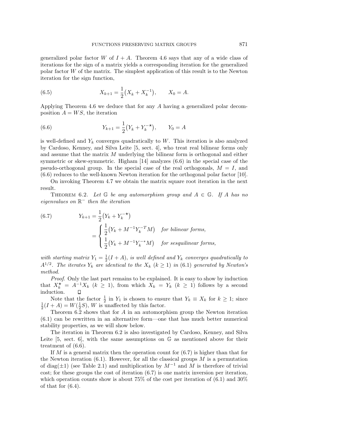generalized polar factor W of  $I + A$ . Theorem 4.6 says that any of a wide class of iterations for the sign of a matrix yields a corresponding iteration for the generalized polar factor W of the matrix. The simplest application of this result is to the Newton iteration for the sign function,

(6.5) 
$$
X_{k+1} = \frac{1}{2}(X_k + X_k^{-1}), \qquad X_0 = A.
$$

Applying Theorem 4.6 we deduce that for any A having a generalized polar decomposition  $A = WS$ , the iteration

(6.6) 
$$
Y_{k+1} = \frac{1}{2} (Y_k + Y_k^{-\star}), \qquad Y_0 = A
$$

is well-defined and  $Y_k$  converges quadratically to W. This iteration is also analyzed by Cardoso, Kenney, and Silva Leite [5, sect. 4], who treat real bilinear forms only and assume that the matrix M underlying the bilinear form is orthogonal and either symmetric or skew-symmetric. Higham [14] analyzes (6.6) in the special case of the pseudo-orthogonal group. In the special case of the real orthogonals,  $M = I$ , and (6.6) reduces to the well-known Newton iteration for the orthogonal polar factor [10].

On invoking Theorem 4.7 we obtain the matrix square root iteration in the next result.

THEOREM 6.2. Let  $G$  be any automorphism group and  $A \in G$ . If A has no eigenvalues on  $\mathbb{R}^-$  then the iteration

(6.7) 
$$
Y_{k+1} = \frac{1}{2} (Y_k + Y_k^{-*})
$$

$$
= \begin{cases} \frac{1}{2} (Y_k + M^{-1} Y_k^{-T} M) & \text{for bilinear forms,} \\ \frac{1}{2} (Y_k + M^{-1} Y_k^{-*} M) & \text{for sesquilinear forms,} \end{cases}
$$

with starting matrix  $Y_1 = \frac{1}{2}(I + A)$ , is well defined and  $Y_k$  converges quadratically to  $A^{1/2}$ . The iterates  $Y_k$  are identical to the  $X_k$  ( $k \ge 1$ ) in (6.1) generated by Newton's method.

Proof. Only the last part remains to be explained. It is easy to show by induction that  $X_k^* = A^{-1}X_k$   $(k \ge 1)$ , from which  $X_k = Y_k$   $(k \ge 1)$  follows by a second induction.

Note that the factor  $\frac{1}{2}$  in  $Y_1$  is chosen to ensure that  $Y_k \equiv X_k$  for  $k \geq 1$ ; since  $\frac{1}{2}(I + A) = W(\frac{1}{2}S)$ , W is unaffected by this factor.

Theorem 6.2 shows that for A in an automorphism group the Newton iteration (6.1) can be rewritten in an alternative form—one that has much better numerical stability properties, as we will show below.

The iteration in Theorem 6.2 is also investigated by Cardoso, Kenney, and Silva Leite  $[5, \text{ sect. } 6]$ , with the same assumptions on  $\mathbb{G}$  as mentioned above for their treatment of (6.6).

If M is a general matrix then the operation count for  $(6.7)$  is higher than that for the Newton iteration  $(6.1)$ . However, for all the classical groups  $M$  is a permutation of diag( $\pm$ 1) (see Table 2.1) and multiplication by  $M^{-1}$  and M is therefore of trivial cost; for these groups the cost of iteration (6.7) is one matrix inversion per iteration, which operation counts show is about  $75\%$  of the cost per iteration of  $(6.1)$  and  $30\%$ of that for (6.4).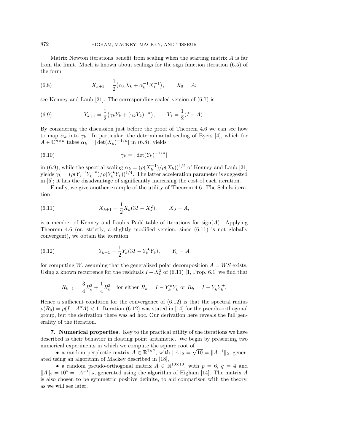Matrix Newton iterations benefit from scaling when the starting matrix  $A$  is far from the limit. Much is known about scalings for the sign function iteration (6.5) of the form

(6.8) 
$$
X_{k+1} = \frac{1}{2} (\alpha_k X_k + \alpha_k^{-1} X_k^{-1}), \qquad X_0 = A;
$$

see Kenney and Laub [21]. The corresponding scaled version of (6.7) is

(6.9) 
$$
Y_{k+1} = \frac{1}{2} (\gamma_k Y_k + (\gamma_k Y_k)^{-\star}), \qquad Y_1 = \frac{1}{2} (I + A).
$$

By considering the discussion just before the proof of Theorem 4.6 we can see how to map  $\alpha_k$  into  $\gamma_k$ . In particular, the determinantal scaling of Byers [4], which for  $A \in \mathbb{C}^{n \times n}$  takes  $\alpha_k = |\det(X_k)^{-1/n}|$  in (6.8), yields

$$
\gamma_k = |\det(Y_k)^{-1/n}|
$$

in (6.9), while the spectral scaling  $\alpha_k = (\rho(X_k^{-1})/\rho(X_k))^{1/2}$  of Kenney and Laub [21] yields  $\gamma_k = (\rho(Y_k^{-1}Y_k^{-\star})/\rho(Y_k^{\star}Y_k))^{1/4}$ . The latter acceleration parameter is suggested in [5]; it has the disadvantage of significantly increasing the cost of each iteration.

Finally, we give another example of the utility of Theorem 4.6. The Schulz iteration

(6.11) 
$$
X_{k+1} = \frac{1}{2} X_k (3I - X_k^2), \qquad X_0 = A,
$$

is a member of Kenney and Laub's Padé table of iterations for  $sign(A)$ . Applying Theorem 4.6 (or, strictly, a slightly modified version, since (6.11) is not globally convergent), we obtain the iteration

(6.12) 
$$
Y_{k+1} = \frac{1}{2} Y_k (3I - Y_k^{\star} Y_k), \qquad Y_0 = A
$$

for computing W, assuming that the generalized polar decomposition  $A = WS$  exists. Using a known recurrence for the residuals  $I - X_k^2$  of (6.11) [1, Prop. 6.1] we find that

$$
R_{k+1} = \frac{3}{4}R_k^2 + \frac{1}{4}R_k^3 \quad \text{for either } R_k = I - Y_k^{\star}Y_k \text{ or } R_k = I - Y_kY_k^{\star}.
$$

Hence a sufficient condition for the convergence of (6.12) is that the spectral radius  $\rho(R_0) = \rho(I - A^{\star}A) < 1$ . Iteration (6.12) was stated in [14] for the pseudo-orthogonal group, but the derivation there was ad hoc. Our derivation here reveals the full generality of the iteration.

**7. Numerical properties.** Key to the practical utility of the iterations we have described is their behavior in floating point arithmetic. We begin by presenting two numerical experiments in which we compute the square root of

• a random perplectic matrix  $A \in \mathbb{R}^{7 \times 7}$ , with  $||A||_2 = \sqrt{10} = ||A^{-1}||_2$ , generated using an algorithm of Mackey described in [18],

• a random pseudo-orthogonal matrix  $A \in \mathbb{R}^{10 \times 10}$ , with  $p = 6$ ,  $q = 4$  and  $||A||_2 = 10^5 = ||A^{-1}||_2$ , generated using the algorithm of Higham [14]. The matrix A is also chosen to be symmetric positive definite, to aid comparison with the theory, as we will see later.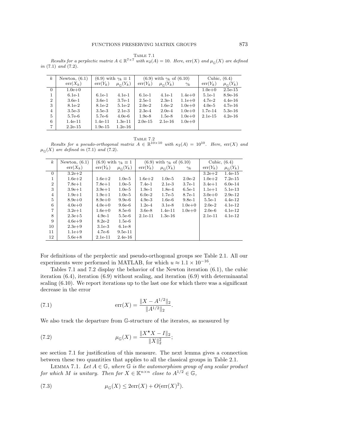Table 7.1 Results for a perplectic matrix  $A \in \mathbb{R}^{7 \times 7}$  with  $\kappa_2(A) = 10$ . Here,  $\text{err}(X)$  and  $\mu_{\mathbb{G}}(X)$  are defined in (7.1) and (7.2).

| $\boldsymbol{k}$ | Newton, $(6.1)$<br>$(6.9)$ with $\gamma_k \equiv 1$ |            | $(6.9)$ with $\gamma_k$ of $(6.10)$ |            |                         | Cubic, $(6.4)$ |            |                         |
|------------------|-----------------------------------------------------|------------|-------------------------------------|------------|-------------------------|----------------|------------|-------------------------|
|                  | $err(X_k)$                                          | $err(Y_k)$ | $\mu_{\mathbb{G}}(Y_k)$             | $err(Y_k)$ | $\mu_{\mathbb{C}}(Y_k)$ | $\gamma_k$     | $err(Y_k)$ | $\mu_{\mathbb{C}}(Y_k)$ |
| $\overline{0}$   | $1.0e + 0$                                          |            |                                     |            |                         |                | $1.0e + 0$ | $2.5e-15$               |
|                  | $6.1e-1$                                            | $6.1e-1$   | $4.1e-1$                            | $6.1e-1$   | $4.1e-1$                | $1.4e + 0$     | $5.1e-1$   | $8.9e-16$               |
| $\overline{2}$   | $3.6e-1$                                            | $3.6e-1$   | $3.7e-1$                            | $2.5e-1$   | $2.3e-1$                | $1.1e+0$       | $4.7e-2$   | $4.4e-16$               |
| 3                | $8.1e-2$                                            | $8.1e-2$   | $5.1e-2$                            | $2.0e-2$   | $1.6e-2$                | $1.0e + 0$     | $4.0e-5$   | $4.7e-16$               |
| 4                | $3.5e-3$                                            | $3.5e-3$   | $2.1e-3$                            | $2.3e-4$   | $2.0e-4$                | $1.0e + 0$     | $1.7e-14$  | $5.3e-16$               |
| 5                | 5.7e-6                                              | 5.7e-6     | $4.0e-6$                            | $1.9e-8$   | $1.5e-8$                | $1.0e + 0$     | $2.1e-15$  | $4.2e-16$               |
| 6                | $1.4e-11$                                           | $1.4e-11$  | $1.3e-11$                           | $2.0e-15$  | $2.1e-16$               | $1.0e + 0$     |            |                         |
| $\overline{7}$   | $2.2e-15$                                           | $1.9e-15$  | $1.2e-16$                           |            |                         |                |            |                         |

Table 7.2

Results for a pseudo-orthogonal matrix  $A \in \mathbb{R}^{10 \times 10}$  with  $\kappa_2(A) = 10^{10}$ . Here, err(X) and  $\mu_{\mathcal{C}}(X)$  are defined in (7.1) and (7.2).

| $\boldsymbol{k}$ | Newton, $(6.1)$<br>$(6.9)$ with $\gamma_k \equiv 1$ |            | $(6.9)$ with $\gamma_k$ of $(6.10)$ |            |                         | Cubic, $(6.4)$ |            |                         |
|------------------|-----------------------------------------------------|------------|-------------------------------------|------------|-------------------------|----------------|------------|-------------------------|
|                  | $err(X_k)$                                          | $err(Y_k)$ | $\mu_{\mathbb{G}}(Y_k)$             | $err(Y_k)$ | $\mu_{\mathbb{G}}(Y_k)$ | $\gamma_k$     | $err(Y_k)$ | $\mu_{\mathbb{G}}(Y_k)$ |
| $\overline{0}$   | $3.2e + 2$                                          |            |                                     |            |                         |                | $3.2e + 2$ | $1.4e-15$               |
| 1                | $1.6e + 2$                                          | $1.6e + 2$ | $1.0e-5$                            | $1.6e + 2$ | $1.0e-5$                | $2.0e-2$       | $1.0e + 2$ | $7.2e-15$               |
| $\overline{2}$   | $7.8e + 1$                                          | $7.8e + 1$ | $1.0e-5$                            | $7.4e-1$   | $2.1e-3$                | $3.7e-1$       | $3.4e + 1$ | $6.0e-14$               |
| 3                | $3.9e + 1$                                          | $3.9e + 1$ | $1.0e-5$                            | $1.9e-1$   | $1.8e-4$                | $6.5e-1$       | $1.1e + 1$ | $5.1e-13$               |
| $\overline{4}$   | $1.9e + 1$                                          | $1.9e + 1$ | $1.0e-5$                            | $6.0e-2$   | $1.7e-5$                | 8.7e-1         | $3.0e + 0$ | $2.9e-12$               |
| 5                | $8.9e + 0$                                          | $8.9e+0$   | $9.9e-6$                            | $4.9e-3$   | $1.6e-6$                | $9.8e-1$       | $5.5e-1$   | $4.4e-12$               |
| 6                | $4.0e + 0$                                          | $4.0e + 0$ | $9.6e-6$                            | $1.2e-4$   | $3.1e-8$                | $1.0e + 0$     | $2.0e-2$   | $4.1e-12$               |
| 7                | $3.2e + 1$                                          | $1.6e + 0$ | 8.5e-6                              | $3.6e-8$   | $1.4e-11$               | $1.0e + 0$     | $2.0e-6$   | $4.1e-12$               |
| 8                | $2.3e + 5$                                          | $4.9e-1$   | $5.5e-6$                            | $2.1e-11$  | $1.3e-16$               |                | $2.1e-11$  | $4.1e-12$               |
| 9                | $4.6e + 9$                                          | $8.2e-2$   | $1.5e-6$                            |            |                         |                |            |                         |
| 10               | $2.3e+9$                                            | $3.1e-3$   | $6.1e-8$                            |            |                         |                |            |                         |
| 11               | $1.1e+9$                                            | $4.7e-6$   | $9.5e-11$                           |            |                         |                |            |                         |
| 12               | $5.6e + 8$                                          | $2.1e-11$  | $2.4e-16$                           |            |                         |                |            |                         |

For definitions of the perplectic and pseudo-orthogonal groups see Table 2.1. All our experiments were performed in MATLAB, for which  $u \approx 1.1 \times 10^{-16}$ .

Tables 7.1 and 7.2 display the behavior of the Newton iteration (6.1), the cubic iteration (6.4), iteration (6.9) without scaling, and iteration (6.9) with determinantal scaling (6.10). We report iterations up to the last one for which there was a significant decrease in the error

(7.1) 
$$
\operatorname{err}(X) = \frac{\|X - A^{1/2}\|_2}{\|A^{1/2}\|_2}.
$$

We also track the departure from G-structure of the iterates, as measured by

(7.2) 
$$
\mu_{\mathbb{G}}(X) = \frac{\|X^{\star}X - I\|_2}{\|X\|_2^2};
$$

see section 7.1 for justification of this measure. The next lemma gives a connection between these two quantities that applies to all the classical groups in Table 2.1.

LEMMA 7.1. Let  $A \in \mathbb{G}$ , where  $\mathbb{G}$  is the automorphism group of any scalar product for which M is unitary. Then for  $X \in \mathbb{K}^{n \times n}$  close to  $A^{1/2} \in \mathbb{G}$ ,

(7.3) 
$$
\mu_{\mathbb{G}}(X) \leq 2\mathrm{err}(X) + O(\mathrm{err}(X)^2).
$$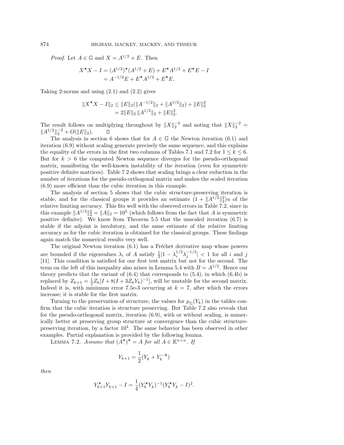*Proof.* Let  $A \in \mathbb{G}$  and  $X = A^{1/2} + E$ . Then

$$
X^{\star}X - I = (A^{1/2})^{\star}(A^{1/2} + E) + E^{\star}A^{1/2} + E^{\star}E - I
$$
  
=  $A^{-1/2}E + E^{\star}A^{1/2} + E^{\star}E.$ 

Taking 2-norms and using  $(2.1)$  and  $(2.2)$  gives

$$
||X^{\star}X - I||_2 \le ||E||_2(||A^{-1/2}||_2 + ||A^{1/2}||_2) + ||E||_2^2
$$
  
= 2||E||\_2 ||A^{1/2}||\_2 + ||E||\_2^2.

The result follows on multiplying throughout by  $||X||_2^{-2}$  and noting that  $||X||_2^{-2}$  $||A^{1/2}||_2^{-2} + O(||E||_2).$ О

The analysis in section 6 shows that for  $A \in \mathbb{G}$  the Newton iteration (6.1) and iteration (6.9) without scaling generate precisely the same sequence, and this explains the equality of the errors in the first two columns of Tables 7.1 and 7.2 for  $1 \leq k \leq 6$ . But for  $k > 6$  the computed Newton sequence diverges for the pseudo-orthogonal matrix, manifesting the well-known instability of the iteration (even for symmetric positive definite matrices). Table 7.2 shows that scaling brings a clear reduction in the number of iterations for the pseudo-orthogonal matrix and makes the scaled iteration (6.9) more efficient than the cubic iteration in this example.

The analysis of section 5 shows that the cubic structure-preserving iteration is stable, and for the classical groups it provides an estimate  $(1 + ||A^{1/2}||_2^2)u$  of the relative limiting accuracy. This fits well with the observed errors in Table 7.2, since in this example  $||A^{1/2}||_2^2 = ||A||_2 = 10^5$  (which follows from the fact that A is symmetric positive definite). We know from Theorem 5.5 that the unscaled iteration (6.7) is stable if the adjoint is involutory, and the same estimate of the relative limiting accuracy as for the cubic iteration is obtained for the classical groups. These findings again match the numerical results very well.

The original Newton iteration  $(6.1)$  has a Fréchet derivative map whose powers are bounded if the eigenvalues  $\lambda_i$  of A satisfy  $\frac{1}{2}|1-\lambda_i^{1/2}\lambda_j^{-1/2}| < 1$  for all i and j [11]. This condition is satisfied for our first test matrix but not for the second. The term on the left of this inequality also arises in Lemma 5.4 with  $B = A^{1/2}$ . Hence our theory predicts that the variant of  $(6.4)$  that corresponds to  $(5.4)$ , in which  $(6.4b)$  is replaced by  $Z_{k+1} = \frac{1}{3}Z_k[I + 8(I + 3Z_kY_k)^{-1}]$ , will be unstable for the second matrix. Indeed it is, with minimum error 7.5e-3 occurring at  $k = 7$ , after which the errors increase; it is stable for the first matrix.

Turning to the preservation of structure, the values for  $\mu_{\mathbb{G}}(Y_k)$  in the tables confirm that the cubic iteration is structure preserving. But Table 7.2 also reveals that for the pseudo-orthogonal matrix, iteration (6.9), with or without scaling, is numerically better at preserving group structure at convergence than the cubic structurepreserving iteration, by a factor  $10<sup>4</sup>$ . The same behavior has been observed in other examples. Partial explanation is provided by the following lemma.

LEMMA 7.2. Assume that  $(A^{\star})^{\star} = A$  for all  $A \in \mathbb{K}^{n \times n}$ . If

$$
Y_{k+1} = \frac{1}{2}(Y_k + Y_k^{-\star})
$$

then

$$
Y_{k+1}^{\star} Y_{k+1} - I = \frac{1}{4} (Y_k^{\star} Y_k)^{-1} (Y_k^{\star} Y_k - I)^2.
$$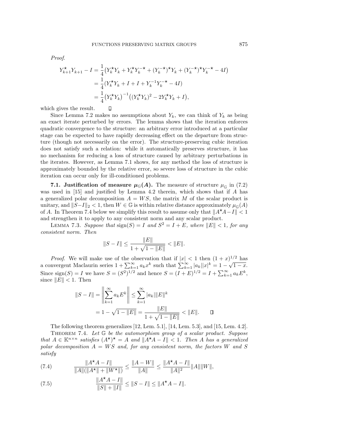Proof.

$$
Y_{k+1}^{\star}Y_{k+1} - I = \frac{1}{4} \left(Y_k^{\star}Y_k + Y_k^{\star}Y_k^{-\star} + (Y_k^{-\star})^{\star}Y_k + (Y_k^{-\star})^{\star}Y_k^{-\star} - 4I\right)
$$
  

$$
= \frac{1}{4} \left(Y_k^{\star}Y_k + I + I + Y_k^{-1}Y_k^{-\star} - 4I\right)
$$
  

$$
= \frac{1}{4} \left(Y_k^{\star}Y_k\right)^{-1} \left((Y_k^{\star}Y_k)^2 - 2Y_k^{\star}Y_k + I\right),
$$

 $\Box$ 

which gives the result.

Since Lemma 7.2 makes no assumptions about  $Y_k$ , we can think of  $Y_k$  as being an exact iterate perturbed by errors. The lemma shows that the iteration enforces quadratic convergence to the structure: an arbitrary error introduced at a particular stage can be expected to have rapidly decreasing effect on the departure from structure (though not necessarily on the error). The structure-preserving cubic iteration does not satisfy such a relation: while it automatically preserves structure, it has no mechanism for reducing a loss of structure caused by arbitrary perturbations in the iterates. However, as Lemma 7.1 shows, for any method the loss of structure is approximately bounded by the relative error, so severe loss of structure in the cubic iteration can occur only for ill-conditioned problems.

**7.1. Justification of measure**  $\mu_{\mathbb{G}}(A)$ **. The measure of structure**  $\mu_{\mathbb{G}}$  **in (7.2)** was used in [15] and justified by Lemma 4.2 therein, which shows that if A has a generalized polar decomposition  $A = WS$ , the matrix M of the scalar product is unitary, and  $||S-I||_2 < 1$ , then  $W \in \mathbb{G}$  is within relative distance approximately  $\mu_{\mathbb{G}}(A)$ of A. In Theorem 7.4 below we simplify this result to assume only that  $\|A^{\star}A-I\| < 1$ and strengthen it to apply to any consistent norm and any scalar product.

LEMMA 7.3. Suppose that  $sign(S) = I$  and  $S^2 = I + E$ , where  $||E|| < 1$ , for any consistent norm. Then

$$
||S - I|| \le \frac{||E||}{1 + \sqrt{1 - ||E||}} < ||E||.
$$

*Proof.* We will make use of the observation that if  $|x| < 1$  then  $(1+x)^{1/2}$  has a convergent Maclaurin series  $1 + \sum_{k=1}^{\infty} a_k x^k$  such that  $\sum_{k=1}^{\infty} |a_k||x|^k = 1 - \sqrt{1-x}$ . Since  $\text{sign}(S) = I$  we have  $S = (S^2)^{1/2}$  and hence  $S = (I + E)^{1/2} = I + \sum_{k=1}^{\infty} a_k E^k$ , since  $||E|| < 1$ . Then

$$
||S - I|| = \left\| \sum_{k=1}^{\infty} a_k E^k \right\| \le \sum_{k=1}^{\infty} |a_k| ||E||^k
$$
  
=  $1 - \sqrt{1 - ||E||} = \frac{||E||}{1 + \sqrt{1 - ||E||}} < ||E||$ .

The following theorem generalizes [12, Lem. 5.1], [14, Lem. 5.3], and [15, Lem. 4.2]. THEOREM 7.4. Let  $G$  be the automorphism group of a scalar product. Suppose that  $A \in \mathbb{K}^{n \times n}$  satisfies  $(A^{\star})^{\star} = A$  and  $||A^{\star}A - I|| < 1$ . Then A has a generalized polar decomposition  $A = WS$  and, for any consistent norm, the factors W and S satisfy

(7.4) 
$$
\frac{\|A^{\star}A-I\|}{\|A\|(\|A^{\star}\|+\|W^{\star}\|)} \le \frac{\|A-W\|}{\|A\|} \le \frac{\|A^{\star}A-I\|}{\|A\|^2} \|A\| \|W\|,
$$

(7.5) 
$$
\frac{\|A^{\star}A - I\|}{\|S\| + \|I\|} \le \|S - I\| \le \|A^{\star}A - I\|.
$$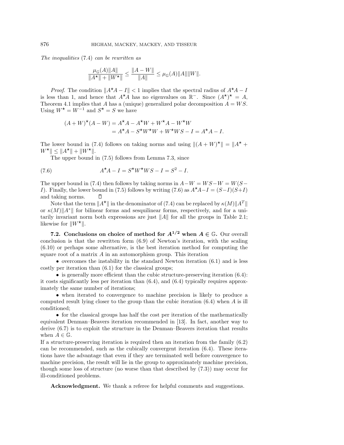The inequalities (7.4) can be rewritten as

$$
\frac{\mu_{\mathbb{G}}(A)\|A\|}{\|A^\star\| + \|W^\star\|} \le \frac{\|A - W\|}{\|A\|} \le \mu_{\mathbb{G}}(A)\|A\|\|W\|.
$$

*Proof.* The condition  $||A^{\star}A - I|| < 1$  implies that the spectral radius of  $A^{\star}A - I$ is less than 1, and hence that  $A^{\star}A$  has no eigenvalues on  $\mathbb{R}^-$ . Since  $(A^{\star})^{\star} = A$ , Theorem 4.1 implies that A has a (unique) generalized polar decomposition  $A = WS$ . Using  $W^* = W^{-1}$  and  $S^* = S$  we have

$$
(A + W)^{\star}(A - W) = A^{\star}A - A^{\star}W + W^{\star}A - W^{\star}W
$$
  
=  $A^{\star}A - S^{\star}W^{\star}W + W^{\star}WS - I = A^{\star}A - I.$ 

The lower bound in (7.4) follows on taking norms and using  $||(A + W)^{\star}|| = ||A^{\star} +$  $W^{\star}$ ||  $\leq$  || $A^{\star}$ || + || $W^{\star}$ ||.

The upper bound in (7.5) follows from Lemma 7.3, since

(7.6) 
$$
A^{\star}A - I = S^{\star}W^{\star}WS - I = S^{2} - I.
$$

The upper bound in (7.4) then follows by taking norms in  $A-W = WS-W = W(S - W)$ I). Finally, the lower bound in (7.5) follows by writing (7.6) as  $A^{\star}A-I = (S-I)(S+I)$ and taking norms.  $\Box$ 

Note that the term  $||A^*||$  in the denominator of (7.4) can be replaced by  $\kappa(M)||A^T||$ or  $\kappa(M)\|A^*\|$  for bilinear forms and sesquilinear forms, respectively, and for a unitarily invariant norm both expressions are just  $||A||$  for all the groups in Table 2.1; likewise for  $||W^*||$ .

**7.2.** Conclusions on choice of method for  $A^{1/2}$  when  $A \in \mathbb{G}$ . Our overall conclusion is that the rewritten form (6.9) of Newton's iteration, with the scaling (6.10) or perhaps some alternative, is the best iteration method for computing the square root of a matrix  $A$  in an automorphism group. This iteration

• overcomes the instability in the standard Newton iteration  $(6.1)$  and is less costly per iteration than (6.1) for the classical groups;

• is generally more efficient than the cubic structure-preserving iteration  $(6.4)$ : it costs significantly less per iteration than (6.4), and (6.4) typically requires approximately the same number of iterations;

• when iterated to convergence to machine precision is likely to produce a computed result lying closer to the group than the cubic iteration  $(6.4)$  when A is ill conditioned;

• for the classical groups has half the cost per iteration of the mathematically equivalent Denman–Beavers iteration recommended in [13]. In fact, another way to derive (6.7) is to exploit the structure in the Denman–Beavers iteration that results when  $A \in \mathbb{G}$ .

If a structure-preserving iteration is required then an iteration from the family (6.2) can be recommended, such as the cubically convergent iteration (6.4). These iterations have the advantage that even if they are terminated well before convergence to machine precision, the result will lie in the group to approximately machine precision, though some loss of structure (no worse than that described by (7.3)) may occur for ill-conditioned problems.

**Acknowledgment.** We thank a referee for helpful comments and suggestions.